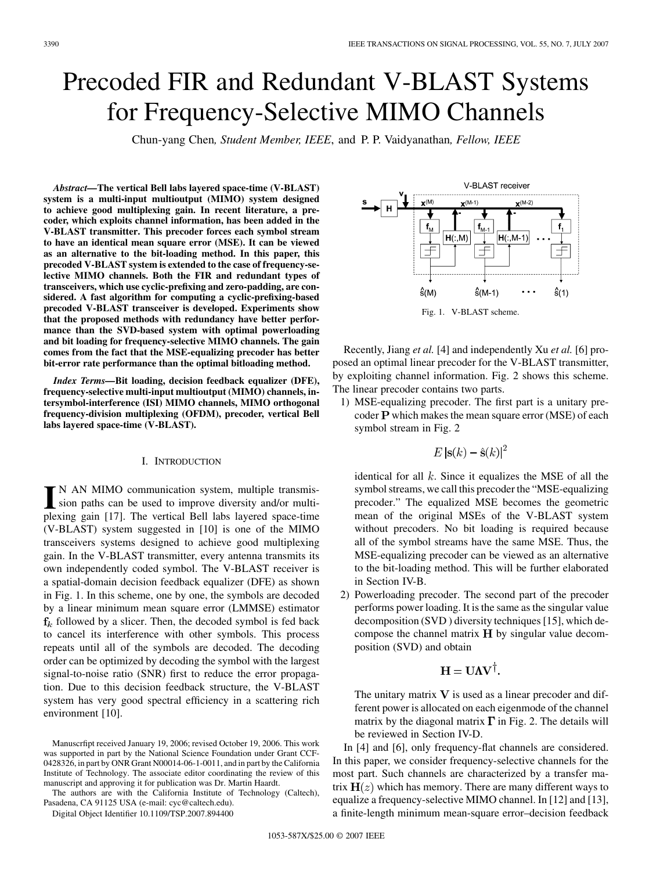# Precoded FIR and Redundant V-BLAST Systems for Frequency-Selective MIMO Channels

Chun-yang Chen*, Student Member, IEEE*, and P. P. Vaidyanathan*, Fellow, IEEE*

*Abstract—***The vertical Bell labs layered space-time (V-BLAST) system is a multi-input multioutput (MIMO) system designed to achieve good multiplexing gain. In recent literature, a precoder, which exploits channel information, has been added in the V-BLAST transmitter. This precoder forces each symbol stream to have an identical mean square error (MSE). It can be viewed as an alternative to the bit-loading method. In this paper, this precoded V-BLAST system is extended to the case of frequency-selective MIMO channels. Both the FIR and redundant types of transceivers, which use cyclic-prefixing and zero-padding, are considered. A fast algorithm for computing a cyclic-prefixing-based precoded V-BLAST transceiver is developed. Experiments show that the proposed methods with redundancy have better performance than the SVD-based system with optimal powerloading and bit loading for frequency-selective MIMO channels. The gain comes from the fact that the MSE-equalizing precoder has better bit-error rate performance than the optimal bitloading method.**

*Index Terms—***Bit loading, decision feedback equalizer (DFE), frequency-selective multi-input multioutput (MIMO) channels, intersymbol-interference (ISI) MIMO channels, MIMO orthogonal frequency-division multiplexing (OFDM), precoder, vertical Bell labs layered space-time (V-BLAST).**

## I. INTRODUCTION

IN AN MIMO communication system, multiple transmission paths can be used to improve diversity and/or multiplexing gain [17]. The vertical Bell labs layered space-time N AN MIMO communication system, multiple transmission paths can be used to improve diversity and/or multi-(V-BLAST) system suggested in [10] is one of the MIMO transceivers systems designed to achieve good multiplexing gain. In the V-BLAST transmitter, every antenna transmits its own independently coded symbol. The V-BLAST receiver is a spatial-domain decision feedback equalizer (DFE) as shown in Fig. 1. In this scheme, one by one, the symbols are decoded by a linear minimum mean square error (LMMSE) estimator  $f_k$  followed by a slicer. Then, the decoded symbol is fed back to cancel its interference with other symbols. This process repeats until all of the symbols are decoded. The decoding order can be optimized by decoding the symbol with the largest signal-to-noise ratio (SNR) first to reduce the error propagation. Due to this decision feedback structure, the V-BLAST system has very good spectral efficiency in a scattering rich environment [10].

The authors are with the California Institute of Technology (Caltech), Pasadena, CA 91125 USA (e-mail: cyc@caltech.edu).

Digital Object Identifier 10.1109/TSP.2007.894400



Recently, Jiang *et al.* [4] and independently Xu *et al.* [6] proposed an optimal linear precoder for the V-BLAST transmitter, by exploiting channel information. Fig. 2 shows this scheme. The linear precoder contains two parts.

1) MSE-equalizing precoder. The first part is a unitary pre- $\operatorname{coder}$  which makes the mean square error (MSE) of each symbol stream in Fig. 2

$$
E\left|\mathbf{s}(k)-\hat{\mathbf{s}}(k)\right|^2
$$

identical for all  $k$ . Since it equalizes the MSE of all the symbol streams, we call this precoder the "MSE-equalizing precoder." The equalized MSE becomes the geometric mean of the original MSEs of the V-BLAST system without precoders. No bit loading is required because all of the symbol streams have the same MSE. Thus, the MSE-equalizing precoder can be viewed as an alternative to the bit-loading method. This will be further elaborated in Section IV-B.

2) Powerloading precoder. The second part of the precoder performs power loading. It is the same as the singular value decomposition (SVD ) diversity techniques [15], which decompose the channel matrix  $H$  by singular value decomposition (SVD) and obtain

$$
\mathbf{H} = \mathbf{U} \mathbf{\Lambda} \mathbf{V}^{\dagger}.
$$

The unitary matrix  $V$  is used as a linear precoder and different power is allocated on each eigenmode of the channel matrix by the diagonal matrix  $\Gamma$  in Fig. 2. The details will be reviewed in Section IV-D.

In [4] and [6], only frequency-flat channels are considered. In this paper, we consider frequency-selective channels for the most part. Such channels are characterized by a transfer matrix  $H(z)$  which has memory. There are many different ways to equalize a frequency-selective MIMO channel. In [12] and [13], a finite-length minimum mean-square error–decision feedback

Manuscrfipt received January 19, 2006; revised October 19, 2006. This work was supported in part by the National Science Foundation under Grant CCF-0428326, in part by ONR Grant N00014-06-1-0011, and in part by the California Institute of Technology. The associate editor coordinating the review of this manuscript and approving it for publication was Dr. Martin Haardt.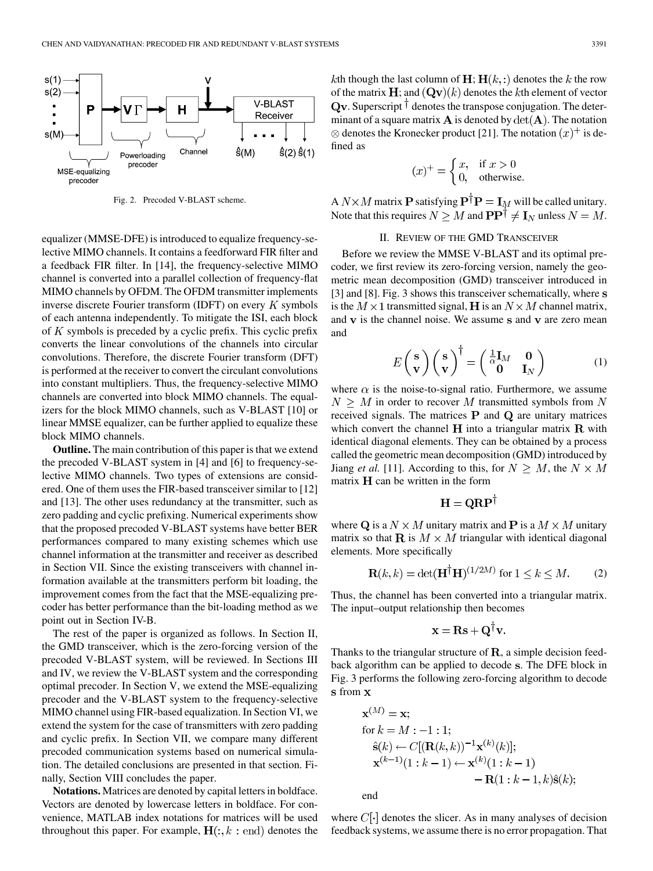

Fig. 2. Precoded V-BLAST scheme.

equalizer (MMSE-DFE) is introduced to equalize frequency-selective MIMO channels. It contains a feedforward FIR filter and a feedback FIR filter. In [14], the frequency-selective MIMO channel is converted into a parallel collection of frequency-flat MIMO channels by OFDM. The OFDM transmitter implements inverse discrete Fourier transform (IDFT) on every  $K$  symbols of each antenna independently. To mitigate the ISI, each block of  $K$  symbols is preceded by a cyclic prefix. This cyclic prefix converts the linear convolutions of the channels into circular convolutions. Therefore, the discrete Fourier transform (DFT) is performed at the receiver to convert the circulant convolutions into constant multipliers. Thus, the frequency-selective MIMO channels are converted into block MIMO channels. The equalizers for the block MIMO channels, such as V-BLAST [10] or linear MMSE equalizer, can be further applied to equalize these block MIMO channels.

**Outline.** The main contribution of this paper is that we extend the precoded V-BLAST system in [4] and [6] to frequency-selective MIMO channels. Two types of extensions are considered. One of them uses the FIR-based transceiver similar to [12] and [13]. The other uses redundancy at the transmitter, such as zero padding and cyclic prefixing. Numerical experiments show that the proposed precoded V-BLAST systems have better BER performances compared to many existing schemes which use channel information at the transmitter and receiver as described in Section VII. Since the existing transceivers with channel information available at the transmitters perform bit loading, the improvement comes from the fact that the MSE-equalizing precoder has better performance than the bit-loading method as we point out in Section IV-B.

The rest of the paper is organized as follows. In Section II, the GMD transceiver, which is the zero-forcing version of the precoded V-BLAST system, will be reviewed. In Sections III and IV, we review the V-BLAST system and the corresponding optimal precoder. In Section V, we extend the MSE-equalizing precoder and the V-BLAST system to the frequency-selective MIMO channel using FIR-based equalization. In Section VI, we extend the system for the case of transmitters with zero padding and cyclic prefix. In Section VII, we compare many different precoded communication systems based on numerical simulation. The detailed conclusions are presented in that section. Finally, Section VIII concludes the paper.

**Notations.** Matrices are denoted by capital letters in boldface. Vectors are denoted by lowercase letters in boldface. For convenience, MATLAB index notations for matrices will be used throughout this paper. For example,  $H(:,k : end)$  denotes the

kth though the last column of  $\mathbf{H}$ ;  $\mathbf{H}(k, :)$  denotes the k the row of the matrix **H**; and  $(\mathbf{Qv})(k)$  denotes the kth element of vector  $Qv$ . Superscript  $\dagger$  denotes the transpose conjugation. The determinant of a square matrix  $\bf{A}$  is denoted by  $\det(\bf{A})$ . The notation  $\otimes$  denotes the Kronecker product [21]. The notation  $(x)^+$  is defined as

$$
(x)^{+} = \begin{cases} x, & \text{if } x > 0 \\ 0, & \text{otherwise.} \end{cases}
$$

A  $N \times M$  matrix **P** satisfying  $\mathbf{P}^{\dagger} \mathbf{P} = \mathbf{I}_M$  will be called unitary. Note that this requires  $N \geq M$  and  $\mathbf{P} \mathbf{P}^{\dagger} \neq \mathbf{I}_N$  unless  $N = M$ .

## II. REVIEW OF THE GMD TRANSCEIVER

Before we review the MMSE V-BLAST and its optimal precoder, we first review its zero-forcing version, namely the geometric mean decomposition (GMD) transceiver introduced in [3] and [8]. Fig. 3 shows this transceiver schematically, where s is the  $M \times 1$  transmitted signal, **H** is an  $N \times M$  channel matrix, and  $v$  is the channel noise. We assume  $s$  and  $v$  are zero mean and

$$
E\begin{pmatrix} \mathbf{s} \\ \mathbf{v} \end{pmatrix} \begin{pmatrix} \mathbf{s} \\ \mathbf{v} \end{pmatrix}^{\dagger} = \begin{pmatrix} \frac{1}{\alpha} \mathbf{I}_M & \mathbf{0} \\ \mathbf{0} & \mathbf{I}_N \end{pmatrix} (1)
$$

where  $\alpha$  is the noise-to-signal ratio. Furthermore, we assume  $N \geq M$  in order to recover M transmitted symbols from N received signals. The matrices  $P$  and  $Q$  are unitary matrices which convert the channel  $H$  into a triangular matrix  $R$  with identical diagonal elements. They can be obtained by a process called the geometric mean decomposition (GMD) introduced by Jiang *et al.* [11]. According to this, for  $N \geq M$ , the  $N \times M$ matrix  $H$  can be written in the form

$$
\mathbf{H} = \mathbf{Q}\mathbf{R}\mathbf{P}^\intercal
$$

where Q is a  $N \times M$  unitary matrix and P is a  $M \times M$  unitary matrix so that **R** is  $M \times M$  triangular with identical diagonal elements. More specifically

$$
\mathbf{R}(k,k) = \det(\mathbf{H}^{\dagger}\mathbf{H})^{(1/2M)} \text{ for } 1 \le k \le M. \tag{2}
$$

Thus, the channel has been converted into a triangular matrix. The input–output relationship then becomes

$$
\mathbf{x} = \mathbf{Rs} + \mathbf{Q}^{\dagger} \mathbf{v}.
$$

Thanks to the triangular structure of  $\bf R$ , a simple decision feedback algorithm can be applied to decode s. The DFE block in Fig. 3 performs the following zero-forcing algorithm to decode s from x

$$
\mathbf{x}^{(M)} = \mathbf{x};
$$
  
for  $k = M : -1 : 1;$   

$$
\hat{\mathbf{s}}(k) \leftarrow C[(\mathbf{R}(k, k))^{-1} \mathbf{x}^{(k)}(k)];
$$
  

$$
\mathbf{x}^{(k-1)}(1 : k-1) \leftarrow \mathbf{x}^{(k)}(1 : k-1)
$$
  

$$
-\mathbf{R}(1 : k-1, k)\hat{\mathbf{s}}(k);
$$

end

where  $C[\cdot]$  denotes the slicer. As in many analyses of decision feedback systems, we assume there is no error propagation. That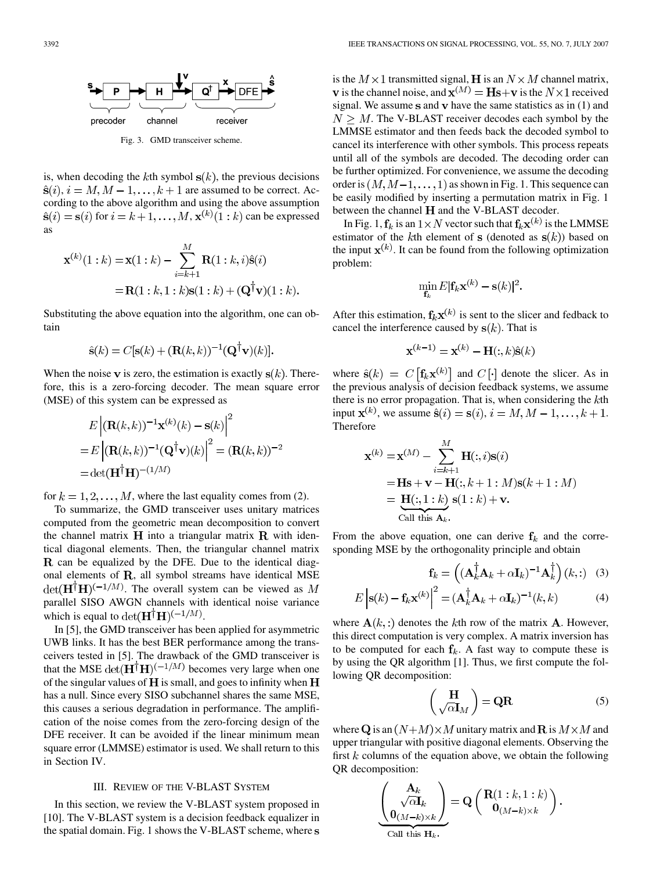

Fig. 3. GMD transceiver scheme.

is, when decoding the kth symbol  $s(k)$ , the previous decisions  $\hat{\mathbf{s}}(i), i = M, M-1, \dots, k+1$  are assumed to be correct. According to the above algorithm and using the above assumption  $\hat{\mathbf{s}}(i) = \mathbf{s}(i)$  for  $i = k+1, \ldots, M$ ,  $\mathbf{x}^{(k)}(1:k)$  can be expressed as

$$
\mathbf{x}^{(k)}(1:k) = \mathbf{x}(1:k) - \sum_{i=k+1}^{M} \mathbf{R}(1:k,i)\hat{\mathbf{s}}(i)
$$

$$
= \mathbf{R}(1:k,1:k)\mathbf{s}(1:k) + (\mathbf{Q}^{\dagger}\mathbf{v})(1:k).
$$

Substituting the above equation into the algorithm, one can obtain

$$
\hat{\mathbf{s}}(k) = C[\mathbf{s}(k) + (\mathbf{R}(k,k))^{-1}(\mathbf{Q}^{\dagger}\mathbf{v})(k)].
$$

When the noise v is zero, the estimation is exactly  $s(k)$ . Therefore, this is a zero-forcing decoder. The mean square error (MSE) of this system can be expressed as

$$
E\left|\left(\mathbf{R}(k,k)\right)^{-1}\mathbf{x}^{(k)}(k) - \mathbf{s}(k)\right|^2
$$
  
=  $E\left|\left(\mathbf{R}(k,k)\right)^{-1}(\mathbf{Q}^{\dagger}\mathbf{v})(k)\right|^2 = (\mathbf{R}(k,k))^{-2}$   
= det $(\mathbf{H}^{\dagger}\mathbf{H})^{-(1/M)}$ 

for  $k = 1, 2, ..., M$ , where the last equality comes from (2).

To summarize, the GMD transceiver uses unitary matrices computed from the geometric mean decomposition to convert the channel matrix  $H$  into a triangular matrix  $R$  with identical diagonal elements. Then, the triangular channel matrix  $\bf R$  can be equalized by the DFE. Due to the identical diagonal elements of  $R$ , all symbol streams have identical MSE  $\det(\mathbf{H}^{\dagger} \mathbf{H})^{(-1/M)}$ . The overall system can be viewed as M parallel SISO AWGN channels with identical noise variance which is equal to  $\det(\mathbf{H}^\dagger \mathbf{H})^{(-1/M)}$ .

In [5], the GMD transceiver has been applied for asymmetric UWB links. It has the best BER performance among the transceivers tested in [5]. The drawback of the GMD transceiver is that the MSE  $\det(\mathbf{H}^{\dagger} \mathbf{H})^{(-1/M)}$  becomes very large when one of the singular values of  $H$  is small, and goes to infinity when  $H$ has a null. Since every SISO subchannel shares the same MSE, this causes a serious degradation in performance. The amplification of the noise comes from the zero-forcing design of the DFE receiver. It can be avoided if the linear minimum mean square error (LMMSE) estimator is used. We shall return to this in Section IV.

## III. REVIEW OF THE V-BLAST SYSTEM

In this section, we review the V-BLAST system proposed in [10]. The V-BLAST system is a decision feedback equalizer in the spatial domain. Fig. 1 shows the V-BLAST scheme, where s

is the  $M \times 1$  transmitted signal, **H** is an  $N \times M$  channel matrix, **v** is the channel noise, and  $\mathbf{x}^{(M)} = \mathbf{H}\mathbf{s} + \mathbf{v}$  is the  $N \times 1$  received signal. We assume  $s$  and  $v$  have the same statistics as in (1) and  $N \geq M$ . The V-BLAST receiver decodes each symbol by the LMMSE estimator and then feeds back the decoded symbol to cancel its interference with other symbols. This process repeats until all of the symbols are decoded. The decoding order can be further optimized. For convenience, we assume the decoding order is  $(M, M-1, \ldots, 1)$  as shown in Fig. 1. This sequence can be easily modified by inserting a permutation matrix in Fig. 1 between the channel  $H$  and the V-BLAST decoder.

In Fig. 1,  $f_k$  is an  $1 \times N$  vector such that  $f_k \mathbf{x}^{(k)}$  is the LMMSE estimator of the k<sup>th</sup> element of **s** (denoted as  $\mathbf{s}(k)$ ) based on the input  $\mathbf{x}^{(k)}$ . It can be found from the following optimization problem:

$$
\min_{\mathbf{f}_k} E|\mathbf{f}_k \mathbf{x}^{(k)} - \mathbf{s}(k)|^2.
$$

After this estimation,  $f_k \mathbf{x}^{(k)}$  is sent to the slicer and fedback to cancel the interference caused by  $s(k)$ . That is

$$
\mathbf{x}^{(k-1)} = \mathbf{x}^{(k)} - \mathbf{H}(:,k)\hat{\mathbf{s}}(k)
$$

where  $\hat{\mathbf{s}}(k) = C \left[ \mathbf{f}_k \mathbf{x}^{(k)} \right]$  and  $C[\cdot]$  denote the slicer. As in the previous analysis of decision feedback systems, we assume there is no error propagation. That is, when considering the  $k$ th input  $\mathbf{x}^{(k)}$ , we assume  $\hat{\mathbf{s}}(i) = \mathbf{s}(i), i = M, M - 1, \dots, k + 1$ . Therefore

$$
\mathbf{x}^{(k)} = \mathbf{x}^{(M)} - \sum_{i=k+1}^{M} \mathbf{H}(:,i)\mathbf{s}(i)
$$
  
=  $\mathbf{H}\mathbf{s} + \mathbf{v} - \mathbf{H}(:,k+1:M)\mathbf{s}(k+1:M)$   
=  $\mathbf{H}(:,1:k)\mathbf{s}(1:k) + \mathbf{v}$ .  
Call this  $\mathbf{A}_k$ .

From the above equation, one can derive  $f_k$  and the corresponding MSE by the orthogonality principle and obtain

$$
\mathbf{f}_k = \left( (\mathbf{A}_k^\dagger \mathbf{A}_k + \alpha \mathbf{I}_k)^{-1} \mathbf{A}_k^\dagger \right) (k, :)
$$
 (3)

$$
E\left|\mathbf{s}(k)-\mathbf{f}_k\mathbf{x}^{(k)}\right|^2 = (\mathbf{A}_k^{\dagger}\mathbf{A}_k + \alpha \mathbf{I}_k)^{-1}(k,k)
$$
(4)

where  $A(k, :)$  denotes the kth row of the matrix A. However, this direct computation is very complex. A matrix inversion has to be computed for each  $f_k$ . A fast way to compute these is by using the QR algorithm [1]. Thus, we first compute the following QR decomposition:

$$
\begin{pmatrix} \mathbf{H} \\ \sqrt{\alpha} \mathbf{I}_M \end{pmatrix} = \mathbf{Q} \mathbf{R} \tag{5}
$$

where Q is an  $(N+M) \times M$  unitary matrix and R is  $M \times M$  and upper triangular with positive diagonal elements. Observing the first  $k$  columns of the equation above, we obtain the following QR decomposition:

$$
\underbrace{\begin{pmatrix} \mathbf{A}_k \\ \sqrt{\alpha} \mathbf{I}_k \\ \mathbf{0}_{(M-k)\times k} \end{pmatrix}}_{\text{Call this } \mathbf{H}_k} = \mathbf{Q} \begin{pmatrix} \mathbf{R}(1:k,1:k) \\ \mathbf{0}_{(M-k)\times k} \end{pmatrix}.
$$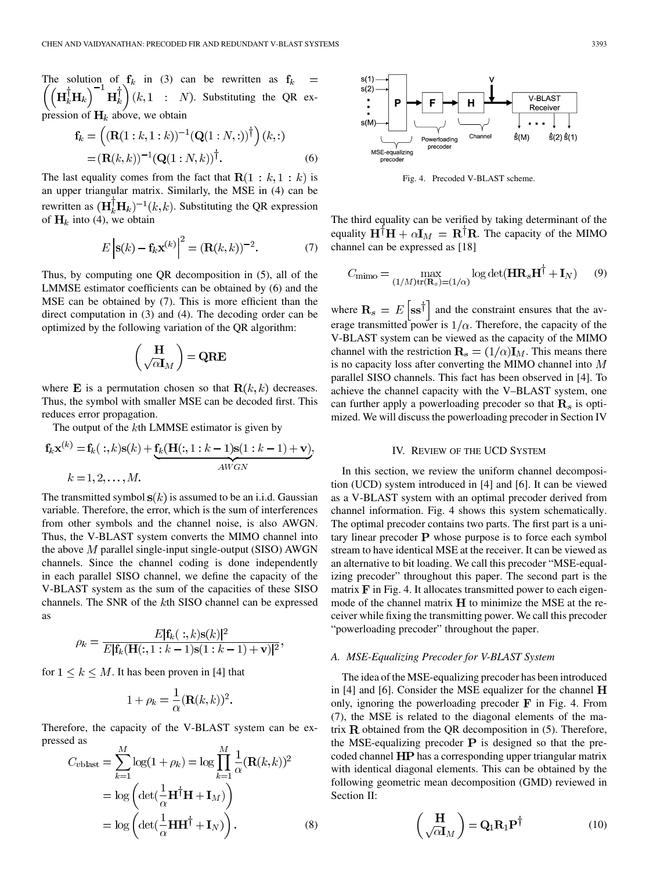The solution of  $f_k$  in (3) can be rewritten as . Substituting the QR expression of  $H_k$  above, we obtain

$$
\mathbf{f}_k = ((\mathbf{R}(1:k,1:k))^{-1}(\mathbf{Q}(1:N,:))^{\dagger}) (k,:)
$$
  
=  $(\mathbf{R}(k,k))^{-1}(\mathbf{Q}(1:N,k))^{\dagger}$ . (6)

The last equality comes from the fact that  $\mathbf{R}(1:k,1:k)$  is an upper triangular matrix. Similarly, the MSE in (4) can be rewritten as  $(\mathbf{H}_{k}^{\mathsf{T}}\mathbf{H}_{k})^{-1}(k,k)$ . Substituting the QR expression of  $H_k$  into (4), we obtain

$$
E\left|\mathbf{s}(k) - \mathbf{f}_k \mathbf{x}^{(k)}\right|^2 = (\mathbf{R}(k,k))^{-2}.
$$
 (7)

Thus, by computing one QR decomposition in (5), all of the LMMSE estimator coefficients can be obtained by (6) and the MSE can be obtained by (7). This is more efficient than the direct computation in (3) and (4). The decoding order can be optimized by the following variation of the QR algorithm:

$$
\left(\frac{\mathbf{H}}{\sqrt{\alpha}\mathbf{I}_M}\right) = \mathbf{QRE}
$$

where **E** is a permutation chosen so that  $\mathbf{R}(k, k)$  decreases. Thus, the symbol with smaller MSE can be decoded first. This reduces error propagation.

The output of the  $k$ th LMMSE estimator is given by

$$
\mathbf{f}_k \mathbf{x}^{(k)} = \mathbf{f}_k(:,k) \mathbf{s}(k) + \underbrace{\mathbf{f}_k(\mathbf{H}(:,1:k-1)\mathbf{s}(1:k-1)+\mathbf{v})}_{AWGN},
$$
  

$$
k = 1, 2, ..., M.
$$

The transmitted symbol  $s(k)$  is assumed to be an i.i.d. Gaussian variable. Therefore, the error, which is the sum of interferences from other symbols and the channel noise, is also AWGN. Thus, the V-BLAST system converts the MIMO channel into the above  $M$  parallel single-input single-output (SISO) AWGN channels. Since the channel coding is done independently in each parallel SISO channel, we define the capacity of the V-BLAST system as the sum of the capacities of these SISO channels. The SNR of the  $k$ th SISO channel can be expressed as

$$
\rho_k = \frac{E[\mathbf{f}_k(:,k)\mathbf{s}(k)]^2}{E[\mathbf{f}_k(\mathbf{H}(:,1:k-1)\mathbf{s}(1:k-1)+\mathbf{v})]^2},
$$

for  $1 \leq k \leq M$ . It has been proven in [4] that

$$
1 + \rho_k = \frac{1}{\alpha} (\mathbf{R}(k, k))^2.
$$

Therefore, the capacity of the V-BLAST system can be expressed as

$$
C_{\text{vblast}} = \sum_{k=1}^{M} \log(1 + \rho_k) = \log \prod_{k=1}^{M} \frac{1}{\alpha} (\mathbf{R}(k, k))^2
$$

$$
= \log \left( \det(\frac{1}{\alpha} \mathbf{H}^\dagger \mathbf{H} + \mathbf{I}_M) \right)
$$

$$
= \log \left( \det(\frac{1}{\alpha} \mathbf{H} \mathbf{H}^\dagger + \mathbf{I}_N) \right). \tag{8}
$$



Fig. 4. Precoded V-BLAST scheme.

The third equality can be verified by taking determinant of the equality  $\mathbf{H}^{\dagger} \mathbf{H} + \alpha \mathbf{I}_M = \mathbf{R}^{\dagger} \mathbf{R}$ . The capacity of the MIMO channel can be expressed as [18]

$$
C_{\text{mimo}} = \max_{(1/M)\text{tr}(\mathbf{R}_s) = (1/\alpha)} \log \det(\mathbf{H}\mathbf{R}_s \mathbf{H}^\dagger + \mathbf{I}_N) \tag{9}
$$

where  $\mathbf{R}_s = E \left| \mathbf{s} \mathbf{s}^\dagger \right|$  and the constraint ensures that the average transmitted power is  $1/\alpha$ . Therefore, the capacity of the V-BLAST system can be viewed as the capacity of the MIMO channel with the restriction  $\mathbf{R}_s = (1/\alpha)\mathbf{I}_M$ . This means there is no capacity loss after converting the MIMO channel into  $M$ parallel SISO channels. This fact has been observed in [4]. To achieve the channel capacity with the V–BLAST system, one can further apply a powerloading precoder so that  $\mathbf{R}_s$  is optimized. We will discuss the powerloading precoder in Section IV

## IV. REVIEW OF THE UCD SYSTEM

In this section, we review the uniform channel decomposition (UCD) system introduced in [4] and [6]. It can be viewed as a V-BLAST system with an optimal precoder derived from channel information. Fig. 4 shows this system schematically. The optimal precoder contains two parts. The first part is a unitary linear precoder  $P$  whose purpose is to force each symbol stream to have identical MSE at the receiver. It can be viewed as an alternative to bit loading. We call this precoder "MSE-equalizing precoder" throughout this paper. The second part is the matrix  $\bf{F}$  in Fig. 4. It allocates transmitted power to each eigenmode of the channel matrix  $H$  to minimize the MSE at the receiver while fixing the transmitting power. We call this precoder "powerloading precoder" throughout the paper.

#### *A. MSE-Equalizing Precoder for V-BLAST System*

The idea of the MSE-equalizing precoder has been introduced in  $[4]$  and  $[6]$ . Consider the MSE equalizer for the channel  $H$ only, ignoring the powerloading precoder  $\bf{F}$  in Fig. 4. From (7), the MSE is related to the diagonal elements of the matrix  $\bf{R}$  obtained from the QR decomposition in (5). Therefore, the MSE-equalizing precoder  $P$  is designed so that the precoded channel HP has a corresponding upper triangular matrix with identical diagonal elements. This can be obtained by the following geometric mean decomposition (GMD) reviewed in Section II:

$$
\begin{pmatrix} \mathbf{H} \\ \sqrt{\alpha} \mathbf{I}_M \end{pmatrix} = \mathbf{Q}_1 \mathbf{R}_1 \mathbf{P}^{\dagger} \tag{10}
$$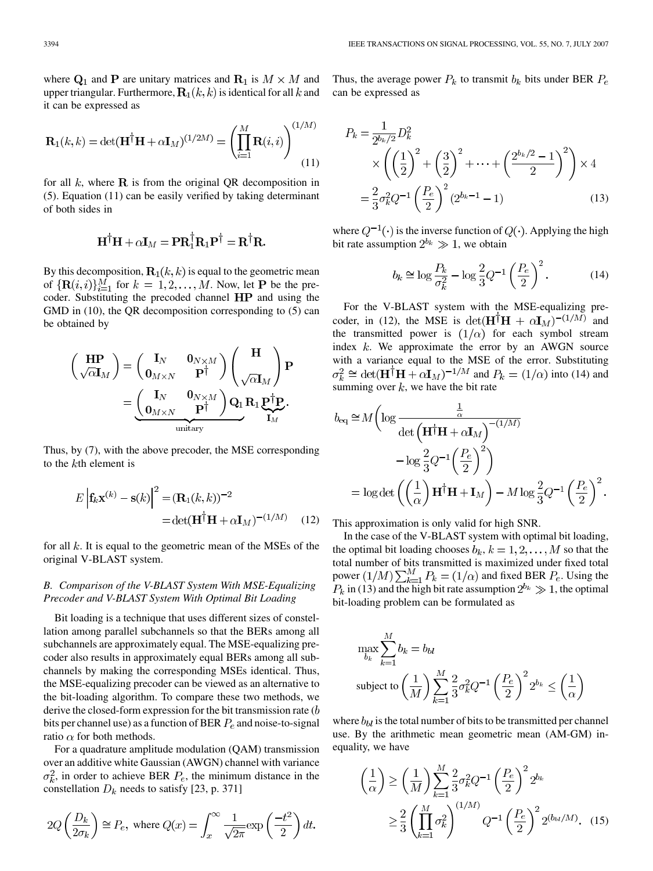where  $Q_1$  and P are unitary matrices and  $R_1$  is  $M \times M$  and upper triangular. Furthermore,  $\mathbf{R}_1(k,k)$  is identical for all k and it can be expressed as

$$
\mathbf{R}_1(k,k) = \det(\mathbf{H}^\dagger \mathbf{H} + \alpha \mathbf{I}_M)^{(1/2M)} = \left(\prod_{i=1}^M \mathbf{R}(i,i)\right)^{(1/M)}
$$
(11)

for all  $k$ , where  $\bf{R}$  is from the original QR decomposition in (5). Equation (11) can be easily verified by taking determinant of both sides in

$$
\mathbf{H}^{\dagger}\mathbf{H} + \alpha \mathbf{I}_M = \mathbf{P} \mathbf{R}_1^{\dagger} \mathbf{R}_1 \mathbf{P}^{\dagger} = \mathbf{R}^{\dagger} \mathbf{R}.
$$

By this decomposition,  $\mathbf{R}_1(k,k)$  is equal to the geometric mean of  $\{\mathbf{R}(i,i)\}_{i=1}^M$  for  $k = 1,2,\ldots,M$ . Now, let P be the precoder. Substituting the precoded channel  $HP$  and using the GMD in (10), the QR decomposition corresponding to (5) can be obtained by

$$
\begin{aligned} \left(\begin{matrix}\n\mathbf{H}\mathbf{P} \\
\sqrt{\alpha}\mathbf{I}_M\n\end{matrix}\right) &= \begin{pmatrix}\n\mathbf{I}_N & \mathbf{0}_{N \times M} \\
\mathbf{0}_{M \times N} & \mathbf{P}^\dagger\n\end{pmatrix} \begin{pmatrix}\n\mathbf{H} \\
\sqrt{\alpha}\mathbf{I}_M\n\end{pmatrix} \mathbf{P} \\ &= \underbrace{\begin{pmatrix}\n\mathbf{I}_N & \mathbf{0}_{N \times M} \\
\mathbf{0}_{M \times N} & \mathbf{P}^\dagger\n\end{pmatrix} \mathbf{Q}_1}_{\text{unitary}} \mathbf{R}_1 \underbrace{\mathbf{P}^\dagger \mathbf{P}}_{\mathbf{I}_M}. \end{aligned}
$$

Thus, by (7), with the above precoder, the MSE corresponding to the  $k$ th element is

$$
E\left|\mathbf{f}_k\mathbf{x}^{(k)} - \mathbf{s}(k)\right|^2 = (\mathbf{R}_1(k,k))^{-2}
$$

$$
= \det(\mathbf{H}^\dagger\mathbf{H} + \alpha\mathbf{I}_M)^{-(1/M)} \quad (12)
$$

for all  $k$ . It is equal to the geometric mean of the MSEs of the original V-BLAST system.

# *B. Comparison of the V-BLAST System With MSE-Equalizing Precoder and V-BLAST System With Optimal Bit Loading*

Bit loading is a technique that uses different sizes of constellation among parallel subchannels so that the BERs among all subchannels are approximately equal. The MSE-equalizing precoder also results in approximately equal BERs among all subchannels by making the corresponding MSEs identical. Thus, the MSE-equalizing precoder can be viewed as an alternative to the bit-loading algorithm. To compare these two methods, we derive the closed-form expression for the bit transmission rate  $(b)$ bits per channel use) as a function of BER  $P_e$  and noise-to-signal ratio  $\alpha$  for both methods.

For a quadrature amplitude modulation (QAM) transmission over an additive white Gaussian (AWGN) channel with variance  $\sigma_k^2$ , in order to achieve BER  $P_e$ , the minimum distance in the constellation  $D_k$  needs to satisfy [23, p. 371]

$$
2Q\left(\frac{D_k}{2\sigma_k}\right) \cong P_e
$$
, where  $Q(x) = \int_x^{\infty} \frac{1}{\sqrt{2\pi}} \exp\left(\frac{-t^2}{2}\right) dt$ .

Thus, the average power  $P_k$  to transmit  $b_k$  bits under BER  $P_e$ can be expressed as

$$
P_k = \frac{1}{2^{b_k/2}} D_k^2
$$
  
 
$$
\times \left( \left( \frac{1}{2} \right)^2 + \left( \frac{3}{2} \right)^2 + \dots + \left( \frac{2^{b_k/2} - 1}{2} \right)^2 \right) \times 4
$$
  
 
$$
= \frac{2}{3} \sigma_k^2 Q^{-1} \left( \frac{P_e}{2} \right)^2 (2^{b_k - 1} - 1)
$$
(13)

where  $Q^{-1}(\cdot)$  is the inverse function of  $Q(\cdot)$ . Applying the high bit rate assumption  $2^{b_k} \gg 1$ , we obtain

$$
b_k \cong \log \frac{P_k}{\sigma_k^2} - \log \frac{2}{3} Q^{-1} \left(\frac{P_e}{2}\right)^2.
$$
 (14)

For the V-BLAST system with the MSE-equalizing precoder, in (12), the MSE is det $(\mathbf{H}^{\dagger} \mathbf{H} + \alpha \mathbf{I}_{M})^{-(1/M)}$  and the transmitted power is  $(1/\alpha)$  for each symbol stream index  $k$ . We approximate the error by an AWGN source with a variance equal to the MSE of the error. Substituting  $\sigma_k^2 \cong \det(\mathbf{H}^\dagger \mathbf{H} + \alpha \mathbf{I}_M)^{-1/M}$  and  $P_k = (1/\alpha)$  into (14) and summing over  $k$ , we have the bit rate

$$
b_{\text{eq}} \cong M \left( \log \frac{\frac{1}{\alpha}}{\det \left( \mathbf{H}^{\dagger} \mathbf{H} + \alpha \mathbf{I}_M \right)^{-(1/M)}} - \log \frac{2}{3} Q^{-1} \left( \frac{P_e}{2} \right)^2 \right)
$$
  
=  $\log \det \left( \left( \frac{1}{\alpha} \right) \mathbf{H}^{\dagger} \mathbf{H} + \mathbf{I}_M \right) - M \log \frac{2}{3} Q^{-1} \left( \frac{P_e}{2} \right)^2$ .

This approximation is only valid for high SNR.

In the case of the V-BLAST system with optimal bit loading, the optimal bit loading chooses  $b_k$ ,  $k = 1, 2, ..., M$  so that the total number of bits transmitted is maximized under fixed total power  $(1/M)\sum_{k=1}^{M} P_k = (1/\alpha)$  and fixed BER  $P_e$ . Using the  $P_k$  in (13) and the high bit rate assumption  $2^{b_k} \gg 1$ , the optimal bit-loading problem can be formulated as

$$
\max_{b_k} \sum_{k=1}^{M} b_k = b_{bl}
$$
\nsubject to 
$$
\left(\frac{1}{M}\right) \sum_{k=1}^{M} \frac{2}{3} \sigma_k^2 Q^{-1} \left(\frac{P_e}{2}\right)^2 2^{b_k} \le \left(\frac{1}{\alpha}\right)^2
$$

where  $b_{bl}$  is the total number of bits to be transmitted per channel use. By the arithmetic mean geometric mean (AM-GM) inequality, we have

 $\overline{a}$ 

$$
\left(\frac{1}{\alpha}\right) \ge \left(\frac{1}{M}\right) \sum_{k=1}^{M} \frac{2}{3} \sigma_k^2 Q^{-1} \left(\frac{P_e}{2}\right)^2 2^{b_k}
$$

$$
\ge \frac{2}{3} \left(\prod_{k=1}^{M} \sigma_k^2\right)^{(1/M)} Q^{-1} \left(\frac{P_e}{2}\right)^2 2^{(b_{bl}/M)}.
$$
 (15)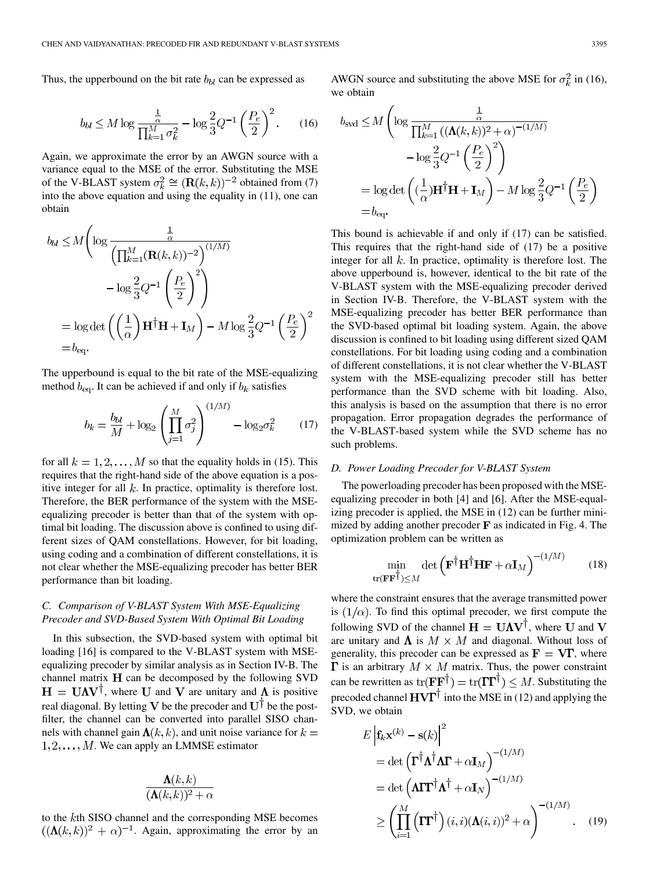Thus, the upperbound on the bit rate  $b_{bl}$  can be expressed as

$$
b_{bl} \le M \log \frac{\frac{1}{\alpha}}{\prod_{k=1}^{M} \sigma_k^2} - \log \frac{2}{3} Q^{-1} \left(\frac{P_e}{2}\right)^2.
$$
 (16)

Again, we approximate the error by an AWGN source with a variance equal to the MSE of the error. Substituting the MSE of the V-BLAST system  $\sigma_k^2 \cong (\mathbf{R}(k,k))^{-2}$  obtained from (7) into the above equation and using the equality in (11), one can obtain

$$
b_{bl} \leq M \left( \log \frac{\frac{1}{\alpha}}{\left( \prod_{k=1}^{M} (\mathbf{R}(k, k))^{-2} \right)^{(1/M)}} - \log \frac{2}{3} Q^{-1} \left( \frac{P_e}{2} \right)^2 \right)
$$
  
= log det  $\left( \left( \frac{1}{\alpha} \right) \mathbf{H}^{\dagger} \mathbf{H} + \mathbf{I}_M \right) - M \log \frac{2}{3} Q^{-1} \left( \frac{P_e}{2} \right)^2$   
=  $b_{eq}$ .

The upperbound is equal to the bit rate of the MSE-equalizing method  $b_{eq}$ . It can be achieved if and only if  $b_k$  satisfies

$$
b_k = \frac{b_{bl}}{M} + \log_2 \left(\prod_{j=1}^M \sigma_j^2\right)^{(1/M)} - \log_2 \sigma_k^2 \tag{17}
$$

for all  $k = 1, 2, ..., M$  so that the equality holds in (15). This requires that the right-hand side of the above equation is a positive integer for all  $k$ . In practice, optimality is therefore lost. Therefore, the BER performance of the system with the MSEequalizing precoder is better than that of the system with optimal bit loading. The discussion above is confined to using different sizes of QAM constellations. However, for bit loading, using coding and a combination of different constellations, it is not clear whether the MSE-equalizing precoder has better BER performance than bit loading.

# *C. Comparison of V-BLAST System With MSE-Equalizing Precoder and SVD-Based System With Optimal Bit Loading*

In this subsection, the SVD-based system with optimal bit loading [16] is compared to the V-BLAST system with MSEequalizing precoder by similar analysis as in Section IV-B. The channel matrix  $H$  can be decomposed by the following SVD  $H = U \Lambda V^{\dagger}$ , where U and V are unitary and  $\Lambda$  is positive real diagonal. By letting V be the precoder and  $U^{\dagger}$  be the postfilter, the channel can be converted into parallel SISO channels with channel gain  $\Lambda(k, k)$ , and unit noise variance for  $k =$  $1, 2, \ldots, M$ . We can apply an LMMSE estimator

$$
\frac{\mathbf{\Lambda}(k,k)}{(\mathbf{\Lambda}(k,k))^2 + \alpha}
$$

to the  $k$ th SISO channel and the corresponding MSE becomes  $((\mathbf{\Lambda}(k,k))^2 + \alpha)^{-1}$ . Again, approximating the error by an AWGN source and substituting the above MSE for  $\sigma_k^2$  in (16), we obtain

$$
b_{\text{svd}} \leq M \left( \log \frac{\frac{1}{\alpha}}{\prod_{k=1}^{M} ((\mathbf{\Lambda}(k,k))^{2} + \alpha)^{-(1/M)}} - \log \frac{2}{3} Q^{-1} \left( \frac{P_e}{2} \right)^{2} \right)
$$
  
=  $\log \det \left( (\frac{1}{\alpha}) \mathbf{H}^{\dagger} \mathbf{H} + \mathbf{I}_{M} \right) - M \log \frac{2}{3} Q^{-1} \left( \frac{P_e}{2} \right)$   
=  $b_{\text{eq}}$ .

This bound is achievable if and only if (17) can be satisfied. This requires that the right-hand side of (17) be a positive integer for all  $k$ . In practice, optimality is therefore lost. The above upperbound is, however, identical to the bit rate of the V-BLAST system with the MSE-equalizing precoder derived in Section IV-B. Therefore, the V-BLAST system with the MSE-equalizing precoder has better BER performance than the SVD-based optimal bit loading system. Again, the above discussion is confined to bit loading using different sized QAM constellations. For bit loading using coding and a combination of different constellations, it is not clear whether the V-BLAST system with the MSE-equalizing precoder still has better performance than the SVD scheme with bit loading. Also, this analysis is based on the assumption that there is no error propagation. Error propagation degrades the performance of the V-BLAST-based system while the SVD scheme has no such problems.

## *D. Power Loading Precoder for V-BLAST System*

The powerloading precoder has been proposed with the MSEequalizing precoder in both [4] and [6]. After the MSE-equalizing precoder is applied, the MSE in (12) can be further minimized by adding another precoder  $\bf{F}$  as indicated in Fig. 4. The optimization problem can be written as

$$
\min_{\mathbf{tr}(\mathbf{F}\mathbf{F}^{\dagger}) \leq M} \det \left(\mathbf{F}^{\dagger} \mathbf{H}^{\dagger} \mathbf{H} \mathbf{F} + \alpha \mathbf{I}_M\right)^{-(1/M)} \tag{18}
$$

where the constraint ensures that the average transmitted power is  $(1/\alpha)$ . To find this optimal precoder, we first compute the following SVD of the channel  $H = U \Lambda V^{\dagger}$ , where U and V are unitary and  $\Lambda$  is  $M \times M$  and diagonal. Without loss of generality, this precoder can be expressed as  $\mathbf{F} = \mathbf{V}\mathbf{\Gamma}$ , where  $\Gamma$  is an arbitrary  $M \times M$  matrix. Thus, the power constraint can be rewritten as  $\text{tr}(\mathbf{FF}^{\dagger}) = \text{tr}(\mathbf{IT}^{\dagger}) \leq M$ . Substituting the precoded channel  $HVT^{\dagger}$  into the MSE in (12) and applying the SVD, we obtain

 $\overline{2}$ 

$$
E\left|\mathbf{f}_k \mathbf{x}^{(k)} - \mathbf{s}(k)\right|^2
$$
  
= det  $(\mathbf{\Gamma}^{\dagger} \mathbf{\Lambda}^{\dagger} \mathbf{\Lambda} \mathbf{\Gamma} + \alpha \mathbf{I}_M)^{-(1/M)}$   
= det  $(\mathbf{\Lambda} \mathbf{\Gamma} \mathbf{\Gamma}^{\dagger} \mathbf{\Lambda}^{\dagger} + \alpha \mathbf{I}_N)^{-(1/M)}$   
 $\geq \left(\prod_{i=1}^M (\mathbf{\Gamma} \mathbf{\Gamma}^{\dagger})(i,i)(\mathbf{\Lambda}(i,i))^2 + \alpha\right)^{-(1/M)}$ . (19)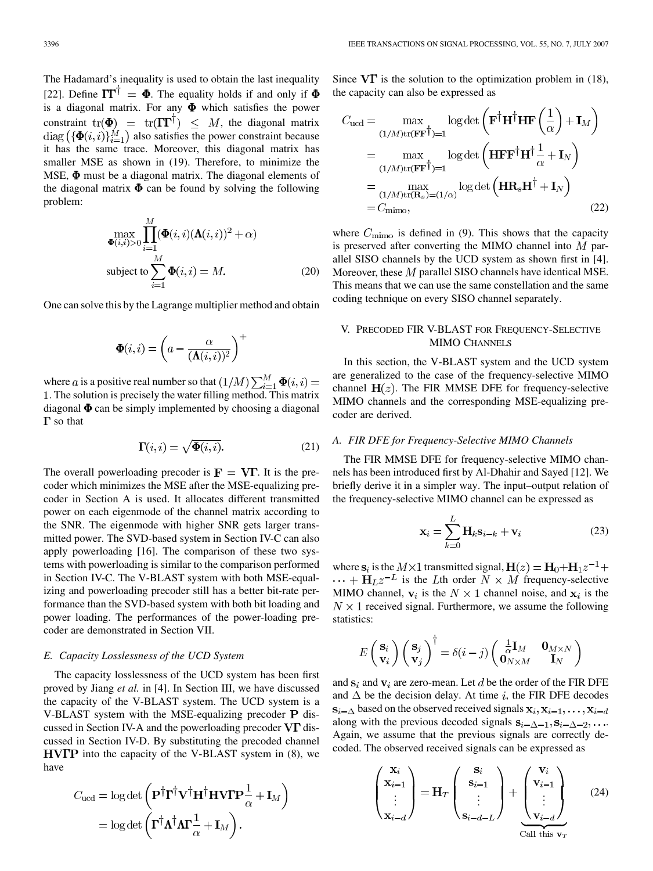The Hadamard's inequality is used to obtain the last inequality [22]. Define  $\mathbf{I} \mathbf{I} \mathbf{I}^{\dagger} = \mathbf{\Phi}$ . The equality holds if and only if  $\mathbf{\Phi}$ is a diagonal matrix. For any  $\Phi$  which satisfies the power constraint  $tr(\mathbf{\Phi}) = tr(\mathbf{\Gamma} \mathbf{\Gamma}^{\dagger}) \leq M$ , the diagonal matrix also satisfies the power constraint because it has the same trace. Moreover, this diagonal matrix has smaller MSE as shown in (19). Therefore, to minimize the MSE,  $\Phi$  must be a diagonal matrix. The diagonal elements of the diagonal matrix  $\Phi$  can be found by solving the following problem:

$$
\max_{\mathbf{\Phi}(i,i)>0} \prod_{i=1}^{M} (\mathbf{\Phi}(i,i)(\mathbf{\Lambda}(i,i))^2 + \alpha)
$$
\nsubject to 
$$
\sum_{i=1}^{M} \mathbf{\Phi}(i,i) = M.
$$
\n(20)

One can solve this by the Lagrange multiplier method and obtain

$$
\Phi(i,i) = \left(a - \frac{\alpha}{(\Lambda(i,i))^2}\right)^+
$$

where *a* is a positive real number so that  $(1/M)\sum_{i=1}^{M} \Phi(i,i) =$ . The solution is precisely the water filling method. This matrix diagonal  $\Phi$  can be simply implemented by choosing a diagonal  $\Gamma$  so that

$$
\Gamma(i,i) = \sqrt{\Phi(i,i)}.
$$
\n(21)

The overall powerloading precoder is  $\mathbf{F} = \mathbf{V}\mathbf{\Gamma}$ . It is the precoder which minimizes the MSE after the MSE-equalizing precoder in Section A is used. It allocates different transmitted power on each eigenmode of the channel matrix according to the SNR. The eigenmode with higher SNR gets larger transmitted power. The SVD-based system in Section IV-C can also apply powerloading [16]. The comparison of these two systems with powerloading is similar to the comparison performed in Section IV-C. The V-BLAST system with both MSE-equalizing and powerloading precoder still has a better bit-rate performance than the SVD-based system with both bit loading and power loading. The performances of the power-loading precoder are demonstrated in Section VII.

## *E. Capacity Losslessness of the UCD System*

The capacity losslessness of the UCD system has been first proved by Jiang *et al.* in [4]. In Section III, we have discussed the capacity of the V-BLAST system. The UCD system is a V-BLAST system with the MSE-equalizing precoder  $P$  discussed in Section IV-A and the powerloading precoder  $V\Gamma$  discussed in Section IV-D. By substituting the precoded channel  $HV\Gamma P$  into the capacity of the V-BLAST system in (8), we have

$$
C_{\text{ucd}} = \log \det \left( \mathbf{P}^{\dagger} \mathbf{\Gamma}^{\dagger} \mathbf{V}^{\dagger} \mathbf{H}^{\dagger} \mathbf{H} \mathbf{V} \mathbf{\Gamma} \mathbf{P} \frac{1}{\alpha} + \mathbf{I}_M \right)
$$

$$
= \log \det \left( \mathbf{\Gamma}^{\dagger} \mathbf{\Lambda}^{\dagger} \mathbf{\Lambda} \mathbf{\Gamma} \frac{1}{\alpha} + \mathbf{I}_M \right).
$$

Since  $V\Gamma$  is the solution to the optimization problem in (18), the capacity can also be expressed as

$$
C_{\text{ucd}} = \max_{(1/M)\text{tr}(\mathbf{FF}^{\dagger})=1} \log \det \left(\mathbf{F}^{\dagger} \mathbf{H}^{\dagger} \mathbf{H} \mathbf{F} \left(\frac{1}{\alpha}\right) + \mathbf{I}_M\right)
$$
  
= 
$$
\max_{(1/M)\text{tr}(\mathbf{FF}^{\dagger})=1} \log \det \left(\mathbf{H} \mathbf{F} \mathbf{F}^{\dagger} \mathbf{H}^{\dagger} \frac{1}{\alpha} + \mathbf{I}_N\right)
$$
  
= 
$$
\max_{(1/M)\text{tr}(\mathbf{R}_s) = (1/\alpha)} \log \det \left(\mathbf{H} \mathbf{R}_s \mathbf{H}^{\dagger} + \mathbf{I}_N\right)
$$
  
= 
$$
C_{\text{mimo}},
$$
 (22)

where  $C_{\text{mimo}}$  is defined in (9). This shows that the capacity is preserved after converting the MIMO channel into  $M$  parallel SISO channels by the UCD system as shown first in [4]. Moreover, these  $M$  parallel SISO channels have identical MSE. This means that we can use the same constellation and the same coding technique on every SISO channel separately.

# V. PRECODED FIR V-BLAST FOR FREQUENCY-SELECTIVE MIMO CHANNELS

In this section, the V-BLAST system and the UCD system are generalized to the case of the frequency-selective MIMO channel  $H(z)$ . The FIR MMSE DFE for frequency-selective MIMO channels and the corresponding MSE-equalizing precoder are derived.

## *A. FIR DFE for Frequency-Selective MIMO Channels*

The FIR MMSE DFE for frequency-selective MIMO channels has been introduced first by Al-Dhahir and Sayed [12]. We briefly derive it in a simpler way. The input–output relation of the frequency-selective MIMO channel can be expressed as

$$
\mathbf{x}_{i} = \sum_{k=0}^{L} \mathbf{H}_{k} \mathbf{s}_{i-k} + \mathbf{v}_{i}
$$
 (23)

where  $s_i$  is the  $M \times 1$  transmitted signal,  $H(z) = H_0 + H_1 z^{-1} +$  $\cdots$  +  $H_L z^{-L}$  is the Lth order  $N \times M$  frequency-selective MIMO channel,  $v_i$  is the  $N \times 1$  channel noise, and  $x_i$  is the  $N \times 1$  received signal. Furthermore, we assume the following statistics:

$$
E\left(\begin{array}{c} \mathbf{s}_i \\ \mathbf{v}_i \end{array}\right) \left(\begin{array}{c} \mathbf{s}_j \\ \mathbf{v}_j \end{array}\right)^{\dagger} = \delta(i-j) \left(\begin{array}{cc} \frac{1}{\alpha} \mathbf{I}_M & \mathbf{0}_{M \times N} \\ \mathbf{0}_{N \times M} & \mathbf{I}_N \end{array}\right)
$$

and  $s_i$  and  $v_i$  are zero-mean. Let d be the order of the FIR DFE and  $\Delta$  be the decision delay. At time i, the FIR DFE decodes  $\mathbf{s}_{i-\Delta}$  based on the observed received signals  $\mathbf{x}_i, \mathbf{x}_{i-1}, \dots, \mathbf{x}_{i-d}$ along with the previous decoded signals  $s_{i-\Delta-1}, s_{i-\Delta-2}, \ldots$ Again, we assume that the previous signals are correctly decoded. The observed received signals can be expressed as

 $\ddot{\phantom{a}}$ 

$$
\begin{pmatrix} \mathbf{x}_i \\ \mathbf{x}_{i-1} \\ \vdots \\ \mathbf{x}_{i-d} \end{pmatrix} = \mathbf{H}_T \begin{pmatrix} \mathbf{s}_i \\ \mathbf{s}_{i-1} \\ \vdots \\ \mathbf{s}_{i-d-L} \end{pmatrix} + \begin{pmatrix} \mathbf{v}_i \\ \mathbf{v}_{i-1} \\ \vdots \\ \mathbf{v}_{i-d} \end{pmatrix}
$$
(24)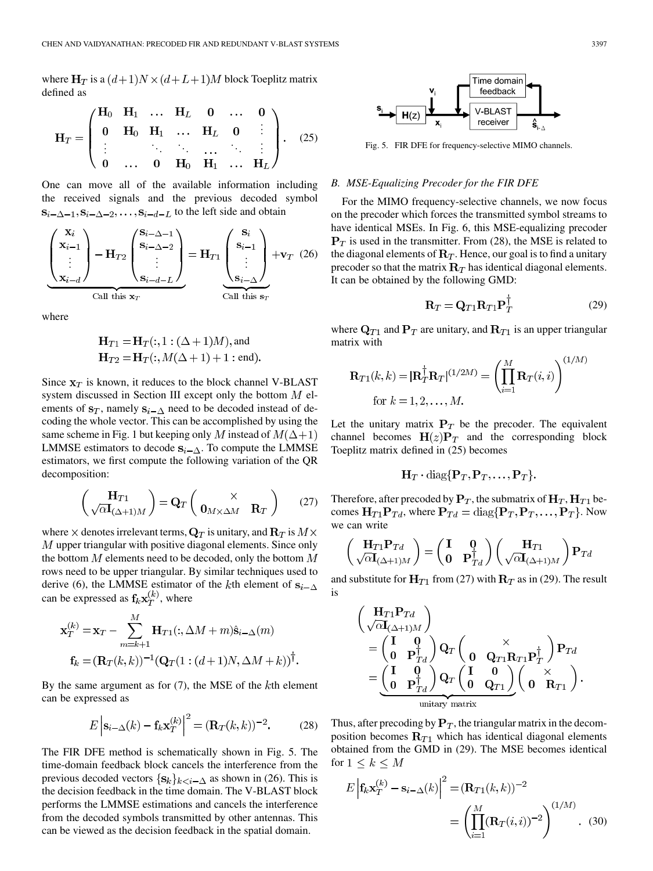where  $H_T$  is a  $(d+1)N \times (d+L+1)M$  block Toeplitz matrix defined as

$$
\mathbf{H}_T = \begin{pmatrix} \mathbf{H}_0 & \mathbf{H}_1 & \dots & \mathbf{H}_L & \mathbf{0} & \dots & \mathbf{0} \\ \mathbf{0} & \mathbf{H}_0 & \mathbf{H}_1 & \dots & \mathbf{H}_L & \mathbf{0} & \vdots \\ \vdots & \vdots & \ddots & \vdots & \ddots & \vdots \\ \mathbf{0} & \dots & \mathbf{0} & \mathbf{H}_0 & \mathbf{H}_1 & \dots & \mathbf{H}_L \end{pmatrix} . \quad (25)
$$

One can move all of the available information including the received signals and the previous decoded symbol  $s_{i-\Delta-1}, s_{i-\Delta-2}, \ldots, s_{i-d-L}$  to the left side and obtain

$$
\underbrace{\begin{pmatrix} \mathbf{x}_i \\ \mathbf{x}_{i-1} \\ \vdots \\ \mathbf{x}_{i-d} \end{pmatrix}}_{\text{Call this } \mathbf{x}_T} - \mathbf{H}_{T2} \underbrace{\begin{pmatrix} \mathbf{s}_{i-\Delta-1} \\ \mathbf{s}_{i-\Delta-2} \\ \vdots \\ \mathbf{s}_{i-d-L} \end{pmatrix}}_{\text{Call this } \mathbf{s}_T} = \mathbf{H}_{T1} \underbrace{\begin{pmatrix} \mathbf{s}_i \\ \mathbf{s}_{i-1} \\ \vdots \\ \mathbf{s}_{i-\Delta} \end{pmatrix}}_{\text{Call this } \mathbf{s}_T} + \mathbf{v}_T \tag{26}
$$

where

$$
H_{T1} = H_T(:, 1 : (\Delta + 1)M)
$$
, and  
\n $H_{T2} = H_T(:, M(\Delta + 1) + 1 : \text{end}).$ 

Since  $x_T$  is known, it reduces to the block channel V-BLAST system discussed in Section III except only the bottom  $M$  elements of  $s_T$ , namely  $s_{i-\Delta}$  need to be decoded instead of decoding the whole vector. This can be accomplished by using the same scheme in Fig. 1 but keeping only M instead of  $M(\Delta+1)$ LMMSE estimators to decode  $s_{i-\Delta}$ . To compute the LMMSE estimators, we first compute the following variation of the QR decomposition:

$$
\begin{pmatrix} \mathbf{H}_{T1} \\ \sqrt{\alpha} \mathbf{I}_{(\Delta+1)M} \end{pmatrix} = \mathbf{Q}_T \begin{pmatrix} \times \\ \mathbf{0}_{M \times \Delta M} & \mathbf{R}_T \end{pmatrix} \tag{27}
$$

where  $\times$  denotes irrelevant terms,  $\mathbf{Q}_T$  is unitary, and  $\mathbf{R}_T$  is  $M \times$  $M$  upper triangular with positive diagonal elements. Since only the bottom  $M$  elements need to be decoded, only the bottom  $M$ rows need to be upper triangular. By similar techniques used to derive (6), the LMMSE estimator of the kth element of  $s_{i-\Delta}$ can be expressed as  $f_k \mathbf{x}_T^{(k)}$ , where

$$
\mathbf{x}_T^{(k)} = \mathbf{x}_T - \sum_{m=k+1}^M \mathbf{H}_{T1}(:,\Delta M + m)\hat{\mathbf{s}}_{i-\Delta}(m)
$$
  

$$
\mathbf{f}_k = (\mathbf{R}_T(k,k))^{-1}(\mathbf{Q}_T(1:(d+1)N,\Delta M + k))^{\dagger}
$$

By the same argument as for  $(7)$ , the MSE of the  $k$ th element can be expressed as

$$
E\left|\mathbf{s}_{i-\Delta}(k)-\mathbf{f}_k\mathbf{x}_T^{(k)}\right|^2 = (\mathbf{R}_T(k,k))^{-2}.
$$
 (28)

The FIR DFE method is schematically shown in Fig. 5. The time-domain feedback block cancels the interference from the previous decoded vectors  $\{s_k\}_{k\leq i-\Delta}$  as shown in (26). This is the decision feedback in the time domain. The V-BLAST block performs the LMMSE estimations and cancels the interference from the decoded symbols transmitted by other antennas. This can be viewed as the decision feedback in the spatial domain.



Fig. 5. FIR DFE for frequency-selective MIMO channels.

## *B. MSE-Equalizing Precoder for the FIR DFE*

For the MIMO frequency-selective channels, we now focus on the precoder which forces the transmitted symbol streams to have identical MSEs. In Fig. 6, this MSE-equalizing precoder  $P_T$  is used in the transmitter. From (28), the MSE is related to the diagonal elements of  $\mathbf{R}_T$ . Hence, our goal is to find a unitary precoder so that the matrix  $\mathbf{R}_T$  has identical diagonal elements. It can be obtained by the following GMD:

$$
\mathbf{R}_T = \mathbf{Q}_{T1} \mathbf{R}_{T1} \mathbf{P}_T^{\dagger} \tag{29}
$$

where  $\mathbf{Q}_{T1}$  and  $\mathbf{P}_T$  are unitary, and  $\mathbf{R}_{T1}$  is an upper triangular matrix with

$$
\mathbf{R}_{T1}(k,k) = |\mathbf{R}_T^\dagger \mathbf{R}_T|^{(1/2M)} = \left(\prod_{i=1}^M \mathbf{R}_T(i,i)\right)^{(1/M)}
$$
  
for  $k = 1, 2, ..., M$ .

Let the unitary matrix  $P_T$  be the precoder. The equivalent channel becomes  $H(z)P_T$  and the corresponding block Toeplitz matrix defined in (25) becomes

$$
\mathbf{H}_T \cdot \mathrm{diag}\{\mathbf{P}_T, \mathbf{P}_T, \ldots, \mathbf{P}_T\}.
$$

Therefore, after precoded by  $P_T$ , the submatrix of  $H_T$ ,  $H_{T1}$  becomes  $H_{T1}P_{Td}$ , where  $P_{Td} = \text{diag}\{P_T, P_T, \dots, P_T\}$ . Now we can write

$$
\begin{pmatrix}\n\mathbf{H}_{T1}\mathbf{P}_{Td} \\
\sqrt{\alpha}\mathbf{I}_{(\Delta+1)M}\n\end{pmatrix} = \begin{pmatrix}\n\mathbf{I} & \mathbf{0} \\
\mathbf{0} & \mathbf{P}_{Td}^{\dagger}\n\end{pmatrix} \begin{pmatrix}\n\mathbf{H}_{T1} \\
\sqrt{\alpha}\mathbf{I}_{(\Delta+1)M}\n\end{pmatrix} \mathbf{P}_{Td}
$$

and substitute for  $\mathbf{H}_{T1}$  from (27) with  $\mathbf{R}_T$  as in (29). The result is

$$
\begin{aligned} &\begin{pmatrix}\n\mathbf{H}_{T1}\mathbf{P}_{Td} \\
\sqrt{\alpha}\mathbf{I}_{(\Delta+1)M}\n\end{pmatrix} \\
&= \begin{pmatrix}\n\mathbf{I} & \mathbf{0} \\
\mathbf{0} & \mathbf{P}_{Td}^{\dagger}\n\end{pmatrix} \mathbf{Q}_{T} \begin{pmatrix}\n\mathbf{X} \\
\mathbf{0} & \mathbf{Q}_{T1}\mathbf{R}_{T1}\mathbf{P}_{T}^{\dagger}\n\end{pmatrix} \mathbf{P}_{Td} \\
&= \underbrace{\begin{pmatrix}\n\mathbf{I} & \mathbf{0} \\
\mathbf{0} & \mathbf{P}_{Td}^{\dagger}\n\end{pmatrix} \mathbf{Q}_{T} \begin{pmatrix}\n\mathbf{I} & \mathbf{0} \\
\mathbf{0} & \mathbf{Q}_{T1}\n\end{pmatrix} \begin{pmatrix}\n\mathbf{X} \\
\mathbf{0} & \mathbf{R}_{T1}\n\end{pmatrix}}_{\text{unitary matrix}}.\end{aligned}
$$

Thus, after precoding by  $P_T$ , the triangular matrix in the decomposition becomes  $\mathbf{R}_{T1}$  which has identical diagonal elements obtained from the GMD in (29). The MSE becomes identical for  $1 \leq k \leq M$ 

$$
E\left|\mathbf{f}_k\mathbf{x}_T^{(k)} - \mathbf{s}_{i-\Delta}(k)\right|^2 = (\mathbf{R}_{T1}(k,k))^{-2}
$$

$$
= \left(\prod_{i=1}^M (\mathbf{R}_T(i,i))^{-2}\right)^{(1/M)}.\tag{30}
$$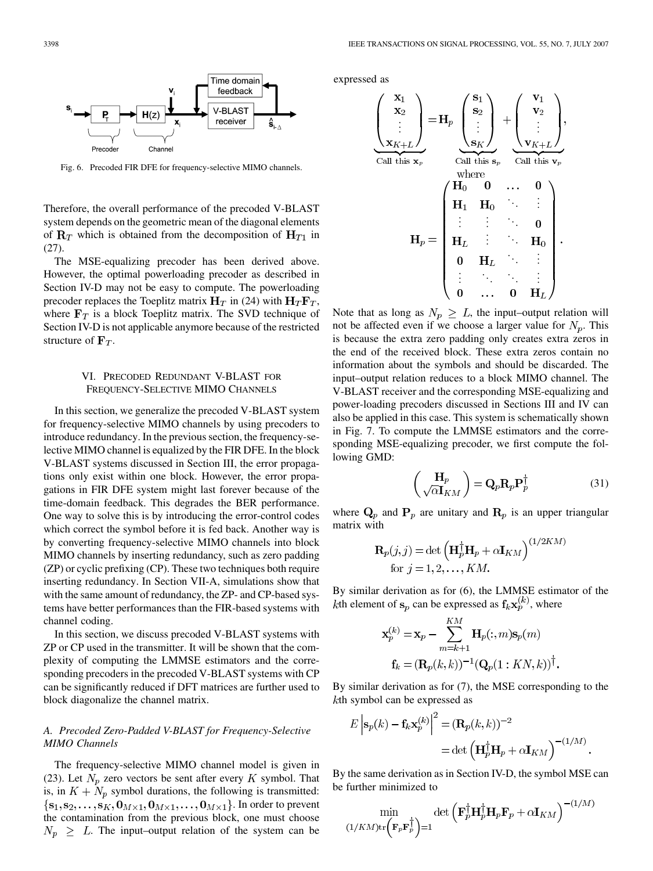

Fig. 6. Precoded FIR DFE for frequency-selective MIMO channels.

Therefore, the overall performance of the precoded V-BLAST system depends on the geometric mean of the diagonal elements of  $\mathbf{R}_T$  which is obtained from the decomposition of  $\mathbf{H}_{T1}$  in (27).

The MSE-equalizing precoder has been derived above. However, the optimal powerloading precoder as described in Section IV-D may not be easy to compute. The powerloading precoder replaces the Toeplitz matrix  $H_T$  in (24) with  $H_T F_T$ , where  $\mathbf{F}_T$  is a block Toeplitz matrix. The SVD technique of Section IV-D is not applicable anymore because of the restricted structure of  $\mathbf{F}_T$ .

## VI. PRECODED REDUNDANT V-BLAST FOR FREQUENCY-SELECTIVE MIMO CHANNELS

In this section, we generalize the precoded V-BLAST system for frequency-selective MIMO channels by using precoders to introduce redundancy. In the previous section, the frequency-selective MIMO channel is equalized by the FIR DFE. In the block V-BLAST systems discussed in Section III, the error propagations only exist within one block. However, the error propagations in FIR DFE system might last forever because of the time-domain feedback. This degrades the BER performance. One way to solve this is by introducing the error-control codes which correct the symbol before it is fed back. Another way is by converting frequency-selective MIMO channels into block MIMO channels by inserting redundancy, such as zero padding (ZP) or cyclic prefixing (CP). These two techniques both require inserting redundancy. In Section VII-A, simulations show that with the same amount of redundancy, the ZP- and CP-based systems have better performances than the FIR-based systems with channel coding.

In this section, we discuss precoded V-BLAST systems with ZP or CP used in the transmitter. It will be shown that the complexity of computing the LMMSE estimators and the corresponding precoders in the precoded V-BLAST systems with CP can be significantly reduced if DFT matrices are further used to block diagonalize the channel matrix.

# *A. Precoded Zero-Padded V-BLAST for Frequency-Selective MIMO Channels*

The frequency-selective MIMO channel model is given in (23). Let  $N_p$  zero vectors be sent after every K symbol. That is, in  $K + N_p$  symbol durations, the following is transmitted:  $\{s_1, s_2, \ldots, s_K, 0_{M \times 1}, 0_{M \times 1}, \ldots, 0_{M \times 1}\}\.$  In order to prevent the contamination from the previous block, one must choose  $N_p \geq L$ . The input–output relation of the system can be expressed as



Note that as long as  $N_p \geq L$ , the input–output relation will not be affected even if we choose a larger value for  $N_p$ . This is because the extra zero padding only creates extra zeros in the end of the received block. These extra zeros contain no information about the symbols and should be discarded. The input–output relation reduces to a block MIMO channel. The V-BLAST receiver and the corresponding MSE-equalizing and power-loading precoders discussed in Sections III and IV can also be applied in this case. This system is schematically shown in Fig. 7. To compute the LMMSE estimators and the corresponding MSE-equalizing precoder, we first compute the following GMD:

$$
\begin{pmatrix} \mathbf{H}_p \\ \sqrt{\alpha} \mathbf{I}_{KM} \end{pmatrix} = \mathbf{Q}_p \mathbf{R}_p \mathbf{P}_p^{\dagger} \tag{31}
$$

where  $\mathbf{Q}_p$  and  $\mathbf{P}_p$  are unitary and  $\mathbf{R}_p$  is an upper triangular matrix with

$$
\mathbf{R}_{p}(j,j) = \det\left(\mathbf{H}_{p}^{\dagger}\mathbf{H}_{p} + \alpha \mathbf{I}_{KM}\right)^{(1/2KM)}
$$
for  $j = 1, 2, ..., KM$ .

By similar derivation as for (6), the LMMSE estimator of the *k*th element of  $s_p$  can be expressed as  $f_k x_p^{(k)}$ , where

$$
\mathbf{x}_p^{(k)} = \mathbf{x}_p - \sum_{m=k+1}^{KM} \mathbf{H}_p(:,m)\mathbf{s}_p(m)
$$
  

$$
\mathbf{f}_k = (\mathbf{R}_p(k,k))^{-1} (\mathbf{Q}_p(1:KN,k))^{\dagger}.
$$

By similar derivation as for (7), the MSE corresponding to the th symbol can be expressed as

$$
E\left|\mathbf{s}_p(k)-\mathbf{f}_k\mathbf{x}_p^{(k)}\right|^2 = (\mathbf{R}_p(k,k))^{-2}
$$
  
= det  $\left(\mathbf{H}_p^{\dagger}\mathbf{H}_p + \alpha \mathbf{I}_{KM}\right)^{-(1/M)}$ .

By the same derivation as in Section IV-D, the symbol MSE can be further minimized to

$$
\min_{(1/KM)\text{tr}\left(\mathbf{F}_p\mathbf{F}_p^{\dagger}\right)=1}\det\left(\mathbf{F}_p^{\dagger}\mathbf{H}_p^{\dagger}\mathbf{H}_p\mathbf{F}_p+\alpha\mathbf{I}_{KM}\right)^{-(1/M)}
$$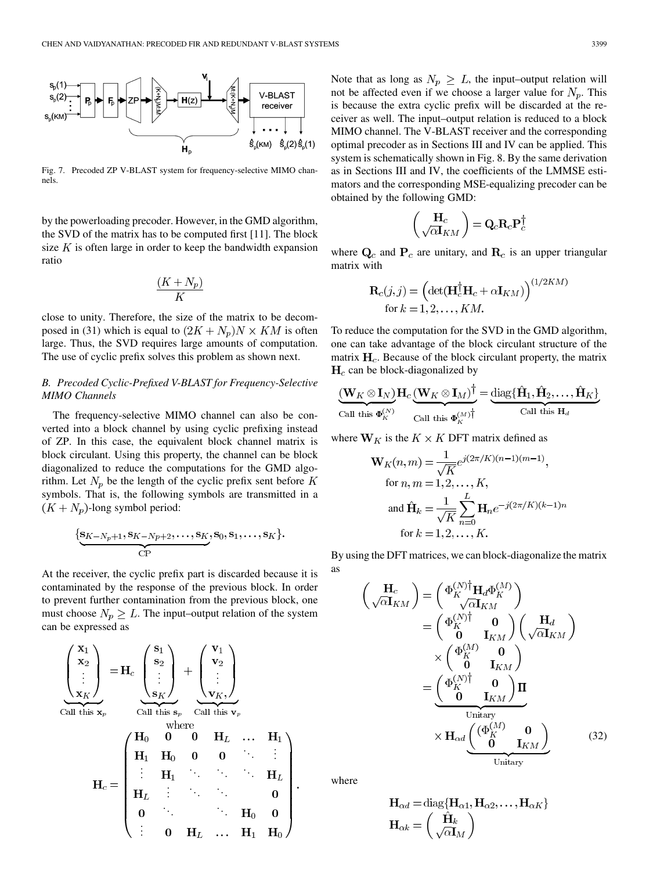

Fig. 7. Precoded ZP V-BLAST system for frequency-selective MIMO channels.

by the powerloading precoder. However, in the GMD algorithm, the SVD of the matrix has to be computed first [11]. The block size  $K$  is often large in order to keep the bandwidth expansion ratio

$$
\frac{(K+N_p)}{K}
$$

close to unity. Therefore, the size of the matrix to be decomposed in (31) which is equal to  $(2K + N_p)N \times KM$  is often large. Thus, the SVD requires large amounts of computation. The use of cyclic prefix solves this problem as shown next.

# *B. Precoded Cyclic-Prefixed V-BLAST for Frequency-Selective MIMO Channels*

The frequency-selective MIMO channel can also be converted into a block channel by using cyclic prefixing instead of ZP. In this case, the equivalent block channel matrix is block circulant. Using this property, the channel can be block diagonalized to reduce the computations for the GMD algorithm. Let  $N_p$  be the length of the cyclic prefix sent before K symbols. That is, the following symbols are transmitted in a  $(K+N_p)$ -long symbol period:

$$
\{\underbrace{\mathbf{s}_{K-N_p+1},\mathbf{s}_{K-Np+2},\ldots,\mathbf{s}_{K}}_{\text{CP}},\mathbf{s}_0,\mathbf{s}_1,\ldots,\mathbf{s}_{K}\}.
$$

At the receiver, the cyclic prefix part is discarded because it is contaminated by the response of the previous block. In order to prevent further contamination from the previous block, one must choose  $N_p \geq L$ . The input–output relation of the system can be expressed as

 $\mathbb{Z}^2$ 

$$
\begin{pmatrix}\n\mathbf{x}_1 \\
\mathbf{x}_2 \\
\vdots \\
\mathbf{x}_K\n\end{pmatrix} = \mathbf{H}_c \begin{pmatrix}\n\mathbf{s}_1 \\
\mathbf{s}_2 \\
\vdots \\
\mathbf{s}_K\n\end{pmatrix} + \begin{pmatrix}\n\mathbf{v}_1 \\
\mathbf{v}_2 \\
\vdots \\
\mathbf{v}_K\n\end{pmatrix}
$$
\ncall this  $\mathbf{x}_p$ 

\ncall this  $\mathbf{s}_p$  call this  $\mathbf{v}_p$ 

\nwhere

\n
$$
\mathbf{H}_c = \begin{pmatrix}\n\mathbf{H}_0 & \mathbf{0} & \mathbf{0} & \mathbf{H}_L & \dots & \mathbf{H}_1 \\
\mathbf{H}_1 & \mathbf{H}_0 & \mathbf{0} & \dots & \vdots \\
\vdots & \mathbf{H}_1 & \ddots & \ddots & \ddots & \mathbf{H}_L \\
\mathbf{H}_L & \vdots & \ddots & \ddots & \mathbf{0} \\
\mathbf{0} & \ddots & \ddots & \mathbf{H}_0 & \mathbf{0} \\
\vdots & \mathbf{0} & \mathbf{H}_L & \dots & \mathbf{H}_1 & \mathbf{H}_0\n\end{pmatrix}.
$$

Note that as long as  $N_p \geq L$ , the input–output relation will not be affected even if we choose a larger value for  $N_p$ . This is because the extra cyclic prefix will be discarded at the receiver as well. The input–output relation is reduced to a block MIMO channel. The V-BLAST receiver and the corresponding optimal precoder as in Sections III and IV can be applied. This system is schematically shown in Fig. 8. By the same derivation as in Sections III and IV, the coefficients of the LMMSE estimators and the corresponding MSE-equalizing precoder can be obtained by the following GMD:

$$
\begin{pmatrix} \mathbf{H}_c \\ \sqrt{\alpha} \mathbf{I}_{KM} \end{pmatrix} = \mathbf{Q}_c \mathbf{R}_c \mathbf{P}_c^{\dagger}
$$

where  $\mathbf{Q}_c$  and  $\mathbf{P}_c$  are unitary, and  $\mathbf{R}_c$  is an upper triangular matrix with

$$
\mathbf{R}_c(j,j) = \left(\det(\mathbf{H}_c^{\dagger} \mathbf{H}_c + \alpha \mathbf{I}_{KM})\right)^{(1/2KM)}
$$
  
for  $k = 1, 2, ..., KM$ .

To reduce the computation for the SVD in the GMD algorithm, one can take advantage of the block circulant structure of the matrix  $H_c$ . Because of the block circulant property, the matrix  $H_c$  can be block-diagonalized by

$$
\underbrace{(\mathbf{W}_K \otimes \mathbf{I}_N)}_{\text{Call this } \boldsymbol{\Phi}_K^{(N)}} \mathbf{H}_c \underbrace{(\mathbf{W}_K \otimes \mathbf{I}_M)^{\dagger}}_{\text{Call this } \boldsymbol{\Phi}_K^{(M)\dagger}} = \underbrace{\text{diag}\{\hat{\mathbf{H}}_1, \hat{\mathbf{H}}_2, \dots, \hat{\mathbf{H}}_K\}}_{\text{Call this } \mathbf{H}_d}
$$

where  $W_K$  is the  $K \times K$  DFT matrix defined as

$$
\mathbf{W}_K(n,m) = \frac{1}{\sqrt{K}} e^{j(2\pi/K)(n-1)(m-1)},
$$
  
for  $n, m = 1, 2, ..., K$ ,  
and  $\hat{\mathbf{H}}_k = \frac{1}{\sqrt{K}} \sum_{n=0}^L \mathbf{H}_n e^{-j(2\pi/K)(k-1)n}$   
for  $k = 1, 2, ..., K$ .

By using the DFT matrices, we can block-diagonalize the matrix as  $\lambda$  and  $\pm$ 

$$
\begin{pmatrix}\n\mathbf{H}_c \\
\sqrt{\alpha}\mathbf{I}_{KM}\n\end{pmatrix} = \begin{pmatrix}\n\Phi_K^{(N)}\mathbf{H}_d\Phi_K^{(M)} \\
\sqrt{\alpha}\mathbf{I}_{KM}\n\end{pmatrix}
$$
\n
$$
= \begin{pmatrix}\n\Phi_K^{(N)}\mathbf{I} & \mathbf{0} \\
\mathbf{0} & \mathbf{I}_{KM}\n\end{pmatrix} \begin{pmatrix}\n\mathbf{H}_d \\
\sqrt{\alpha}\mathbf{I}_{KM}\n\end{pmatrix}
$$
\n
$$
= \begin{pmatrix}\n\Phi_K^{(M)} & \mathbf{0} \\
\mathbf{0} & \mathbf{I}_{KM}\n\end{pmatrix} \mathbf{I}
$$
\n
$$
= \begin{pmatrix}\n\Phi_K^{(N)\dagger} & \mathbf{0} \\
\mathbf{0} & \mathbf{I}_{KM}\n\end{pmatrix} \mathbf{I}
$$
\n
$$
\times \mathbf{H}_{\alpha d} \begin{pmatrix}\n(\Phi_K^{(M)} & \mathbf{0} \\
\mathbf{0} & \mathbf{I}_{KM}\n\end{pmatrix}
$$
\n
$$
\begin{pmatrix}\n\text{unitary} \\
\text{unitary}\n\end{pmatrix}
$$
\n(32)

ala la la

where

$$
\mathbf{H}_{\alpha d} = \text{diag}\{\mathbf{H}_{\alpha 1}, \mathbf{H}_{\alpha 2}, \dots, \mathbf{H}_{\alpha K}\}
$$

$$
\mathbf{H}_{\alpha k} = \begin{pmatrix} \hat{\mathbf{H}}_k \\ \sqrt{\alpha} \mathbf{I}_M \end{pmatrix}
$$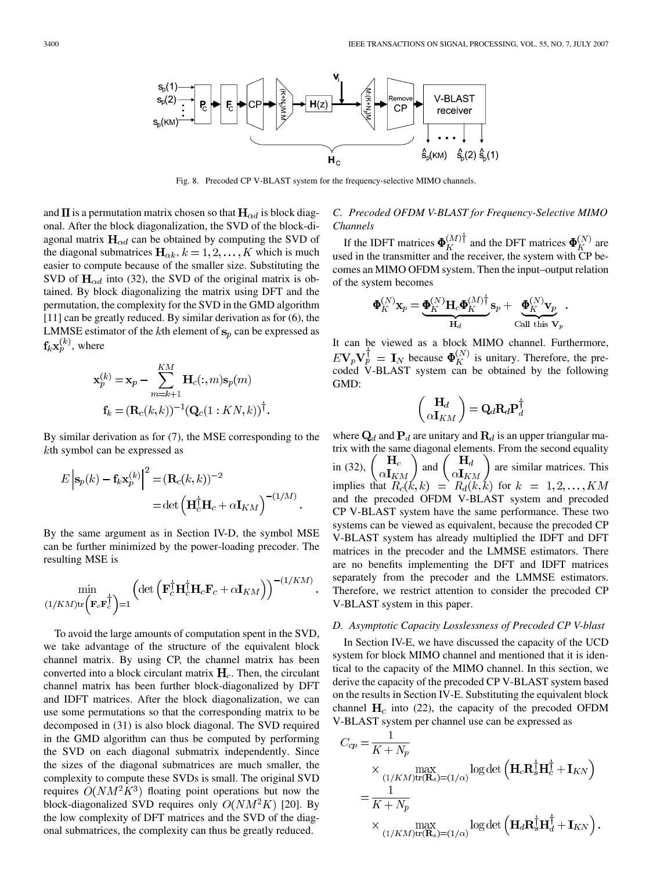

Fig. 8. Precoded CP V-BLAST system for the frequency-selective MIMO channels.

and  $\Pi$  is a permutation matrix chosen so that  $H_{\alpha d}$  is block diagonal. After the block diagonalization, the SVD of the block-diagonal matrix  $H_{\alpha d}$  can be obtained by computing the SVD of the diagonal submatrices  $H_{\alpha k}$ ,  $k = 1, 2, ..., K$  which is much easier to compute because of the smaller size. Substituting the SVD of  $\mathbf{H}_{\alpha d}$  into (32), the SVD of the original matrix is obtained. By block diagonalizing the matrix using DFT and the permutation, the complexity for the SVD in the GMD algorithm [11] can be greatly reduced. By similar derivation as for (6), the LMMSE estimator of the  $k$ th element of  $s_p$  can be expressed as  $f_k \mathbf{x}_p^{(k)}$ , where

$$
\mathbf{x}_p^{(k)} = \mathbf{x}_p - \sum_{m=k+1}^{KM} \mathbf{H}_c(:,m)\mathbf{s}_p(m)
$$
  

$$
\mathbf{f}_k = (\mathbf{R}_c(k,k))^{-1} (\mathbf{Q}_c(1:KN,k))^{\dagger}.
$$

By similar derivation as for (7), the MSE corresponding to the th symbol can be expressed as

$$
E\left|\mathbf{s}_p(k) - \mathbf{f}_k \mathbf{x}_p^{(k)}\right|^2 = (\mathbf{R}_c(k, k))^{-2}
$$

$$
= \det \left(\mathbf{H}_c^{\dagger} \mathbf{H}_c + \alpha \mathbf{I}_{KM}\right)^{-(1/M)}
$$

By the same argument as in Section IV-D, the symbol MSE can be further minimized by the power-loading precoder. The resulting MSE is

$$
\min_{(1/KM)\text{tr}\left(\mathbf{F}_c\mathbf{F}_c^{\dagger}\right)=1}\left(\det\left(\mathbf{F}_c^{\dagger}\mathbf{H}_c^{\dagger}\mathbf{H}_c\mathbf{F}_c+\alpha\mathbf{I}_{KM}\right)\right)^{-(1/KM)}
$$

To avoid the large amounts of computation spent in the SVD, we take advantage of the structure of the equivalent block channel matrix. By using CP, the channel matrix has been converted into a block circulant matrix  $H_c$ . Then, the circulant channel matrix has been further block-diagonalized by DFT and IDFT matrices. After the block diagonalization, we can use some permutations so that the corresponding matrix to be decomposed in (31) is also block diagonal. The SVD required in the GMD algorithm can thus be computed by performing the SVD on each diagonal submatrix independently. Since the sizes of the diagonal submatrices are much smaller, the complexity to compute these SVDs is small. The original SVD requires  $O(NM^2K^3)$  floating point operations but now the block-diagonalized SVD requires only  $O(NM^2K)$  [20]. By the low complexity of DFT matrices and the SVD of the diagonal submatrices, the complexity can thus be greatly reduced.

# *C. Precoded OFDM V-BLAST for Frequency-Selective MIMO Channels*

If the IDFT matrices  $\Phi_K^{(M)\dagger}$  and the DFT matrices  $\Phi_K^{(N)}$  are used in the transmitter and the receiver, the system with CP becomes an MIMO OFDM system. Then the input–output relation of the system becomes

$$
\Phi_K^{(N)}\mathbf{x}_p = \underbrace{\Phi_K^{(N)}\mathbf{H}_c\Phi_K^{(M)\dagger}}_{\mathbf{H}_d}\mathbf{s}_p + \underbrace{\Phi_K^{(N)}\mathbf{v}_p}_{\text{Call this }\mathbf{V}_p}
$$

It can be viewed as a block MIMO channel. Furthermore, because  $\Phi_K^{(N)}$  is unitary. Therefore, the precoded V-BLAST system can be obtained by the following GMD:

$$
\left(\begin{matrix}\mathbf{H}_d\\ \alpha\mathbf{I}_{KM}\end{matrix}\right)=\mathbf{Q}_d\mathbf{R}_d\mathbf{P}_d^\dagger
$$

where  $Q_d$  and  $P_d$  are unitary and  $R_d$  is an upper triangular matrix with the same diagonal elements. From the second equality<br>in (32),  $\begin{pmatrix} \mathbf{H}_c \\ \alpha \mathbf{I}_{KM} \end{pmatrix}$  and  $\begin{pmatrix} \mathbf{H}_d \\ \alpha \mathbf{I}_{KM} \end{pmatrix}$  are similar matrices. This in (32),  $\begin{pmatrix} 1 & -c \\ c & 1 \end{pmatrix}$  and  $\begin{pmatrix} 1 & -d \\ c & 1 \end{pmatrix}$  are similar matrices. This implies that  $R_c(k,k) = R_d(k,k)$  for and the precoded OFDM V-BLAST system and precoded CP V-BLAST system have the same performance. These two systems can be viewed as equivalent, because the precoded CP V-BLAST system has already multiplied the IDFT and DFT matrices in the precoder and the LMMSE estimators. There are no benefits implementing the DFT and IDFT matrices separately from the precoder and the LMMSE estimators. Therefore, we restrict attention to consider the precoded CP V-BLAST system in this paper.

## *D. Asymptotic Capacity Losslessness of Precoded CP V-blast*

In Section IV-E, we have discussed the capacity of the UCD system for block MIMO channel and mentioned that it is identical to the capacity of the MIMO channel. In this section, we derive the capacity of the precoded CP V-BLAST system based on the results in Section IV-E. Substituting the equivalent block channel  $H_c$  into (22), the capacity of the precoded OFDM V-BLAST system per channel use can be expressed as

$$
C_{cp} = \frac{1}{K + N_p}
$$
  
\n
$$
\times \max_{(1/KM)\text{tr}(\mathbf{R}_s) = (1/\alpha)} \log \det \left(\mathbf{H}_c \mathbf{R}_s^\dagger \mathbf{H}_c^\dagger + \mathbf{I}_{KN}\right)
$$
  
\n
$$
= \frac{1}{K + N_p}
$$
  
\n
$$
\times \max_{(1/KM)\text{tr}(\mathbf{R}_s) = (1/\alpha)} \log \det \left(\mathbf{H}_d \mathbf{R}_s^\dagger \mathbf{H}_d^\dagger + \mathbf{I}_{KN}\right).
$$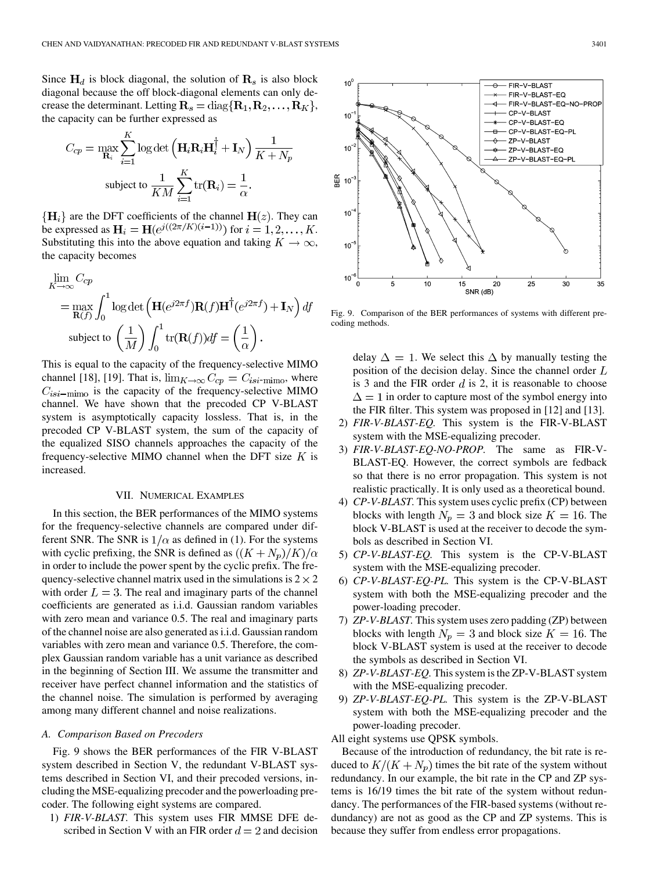Since  $H_d$  is block diagonal, the solution of  $R_s$  is also block diagonal because the off block-diagonal elements can only decrease the determinant. Letting  $\mathbf{R}_s = \text{diag}\{\mathbf{R}_1, \mathbf{R}_2, \dots, \mathbf{R}_K\},\$ the capacity can be further expressed as

$$
C_{cp} = \max_{\mathbf{R}_i} \sum_{i=1}^{K} \log \det \left( \mathbf{H}_i \mathbf{R}_i \mathbf{H}_i^\dagger + \mathbf{I}_N \right) \frac{1}{K + N_p}
$$
  
subject to 
$$
\frac{1}{KM} \sum_{i=1}^{K} \text{tr}(\mathbf{R}_i) = \frac{1}{\alpha}.
$$

 ${H<sub>i</sub>}$  are the DFT coefficients of the channel  $H(z)$ . They can be expressed as  $\mathbf{H}_i = \mathbf{H}(e^{j((2\pi/K)(i-1))})$  for  $i = 1, 2, \dots, K$ . Substituting this into the above equation and taking  $K \to \infty$ , the capacity becomes

$$
\lim_{K \to \infty} C_{cp}
$$
\n
$$
= \max_{\mathbf{R}(f)} \int_0^1 \log \det \left( \mathbf{H}(e^{j2\pi f}) \mathbf{R}(f) \mathbf{H}^\dagger(e^{j2\pi f}) + \mathbf{I}_N \right) df
$$
\n
$$
\text{subject to } \left( \frac{1}{M} \right) \int_0^1 \text{tr}(\mathbf{R}(f)) df = \left( \frac{1}{\alpha} \right).
$$

This is equal to the capacity of the frequency-selective MIMO channel [18], [19]. That is,  $\lim_{K\to\infty} C_{cp} = C_{isi\text{-}\text{mimo}}$ , where  $C_{isi-mino}$  is the capacity of the frequency-selective MIMO channel. We have shown that the precoded CP V-BLAST system is asymptotically capacity lossless. That is, in the precoded CP V-BLAST system, the sum of the capacity of the equalized SISO channels approaches the capacity of the frequency-selective MIMO channel when the DFT size  $K$  is increased.

## VII. NUMERICAL EXAMPLES

In this section, the BER performances of the MIMO systems for the frequency-selective channels are compared under different SNR. The SNR is  $1/\alpha$  as defined in (1). For the systems with cyclic prefixing, the SNR is defined as  $((K+N_p)/K)/\alpha$ in order to include the power spent by the cyclic prefix. The frequency-selective channel matrix used in the simulations is  $2 \times 2$ with order  $L = 3$ . The real and imaginary parts of the channel coefficients are generated as i.i.d. Gaussian random variables with zero mean and variance 0.5. The real and imaginary parts of the channel noise are also generated as i.i.d. Gaussian random variables with zero mean and variance 0.5. Therefore, the complex Gaussian random variable has a unit variance as described in the beginning of Section III. We assume the transmitter and receiver have perfect channel information and the statistics of the channel noise. The simulation is performed by averaging among many different channel and noise realizations.

## *A. Comparison Based on Precoders*

Fig. 9 shows the BER performances of the FIR V-BLAST system described in Section V, the redundant V-BLAST systems described in Section VI, and their precoded versions, including the MSE-equalizing precoder and the powerloading precoder. The following eight systems are compared.

1) *FIR-V-BLAST.* This system uses FIR MMSE DFE described in Section V with an FIR order  $d = 2$  and decision



Fig. 9. Comparison of the BER performances of systems with different precoding methods.

delay  $\Delta = 1$ . We select this  $\Delta$  by manually testing the position of the decision delay. Since the channel order  $L$ is 3 and the FIR order  $d$  is 2, it is reasonable to choose  $\Delta = 1$  in order to capture most of the symbol energy into the FIR filter. This system was proposed in [12] and [13].

- 2) *FIR-V-BLAST-EQ.* This system is the FIR-V-BLAST system with the MSE-equalizing precoder.
- 3) *FIR-V-BLAST-EQ-NO-PROP.* The same as FIR-V-BLAST-EQ. However, the correct symbols are fedback so that there is no error propagation. This system is not realistic practically. It is only used as a theoretical bound.
- 4) *CP-V-BLAST.* This system uses cyclic prefix (CP) between blocks with length  $N_p = 3$  and block size  $K = 16$ . The block V-BLAST is used at the receiver to decode the symbols as described in Section VI.
- 5) *CP-V-BLAST-EQ.* This system is the CP-V-BLAST system with the MSE-equalizing precoder.
- 6) *CP-V-BLAST-EQ-PL.* This system is the CP-V-BLAST system with both the MSE-equalizing precoder and the power-loading precoder.
- 7) *ZP-V-BLAST.* This system uses zero padding (ZP) between blocks with length  $N_p = 3$  and block size  $K = 16$ . The block V-BLAST system is used at the receiver to decode the symbols as described in Section VI.
- 8) *ZP-V-BLAST-EQ.* This system is the ZP-V-BLAST system with the MSE-equalizing precoder.
- 9) *ZP-V-BLAST-EQ-PL.* This system is the ZP-V-BLAST system with both the MSE-equalizing precoder and the power-loading precoder.

All eight systems use QPSK symbols.

Because of the introduction of redundancy, the bit rate is reduced to  $K/(K+N_p)$  times the bit rate of the system without redundancy. In our example, the bit rate in the CP and ZP systems is 16/19 times the bit rate of the system without redundancy. The performances of the FIR-based systems (without redundancy) are not as good as the CP and ZP systems. This is because they suffer from endless error propagations.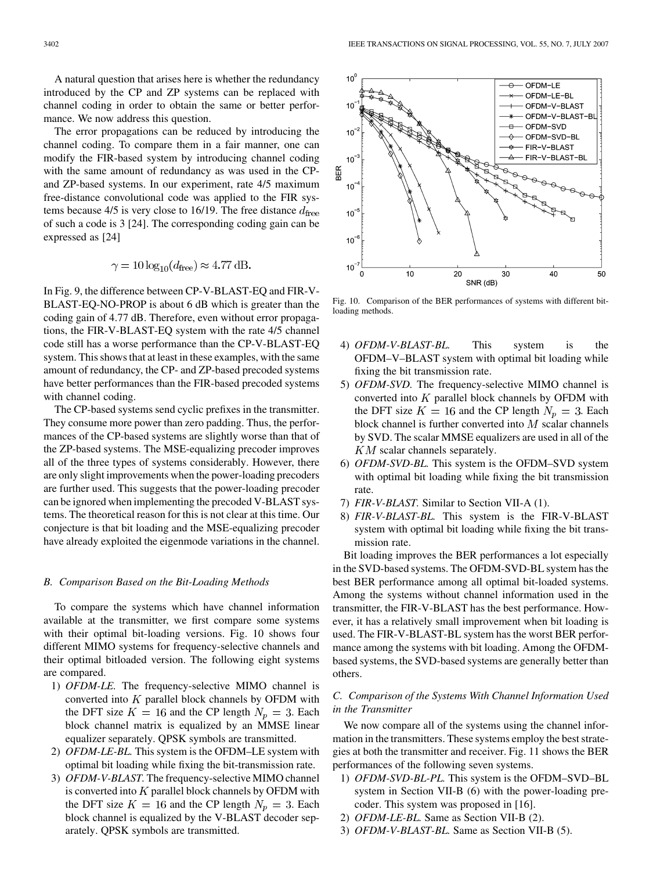A natural question that arises here is whether the redundancy introduced by the CP and ZP systems can be replaced with channel coding in order to obtain the same or better performance. We now address this question.

The error propagations can be reduced by introducing the channel coding. To compare them in a fair manner, one can modify the FIR-based system by introducing channel coding with the same amount of redundancy as was used in the CPand ZP-based systems. In our experiment, rate 4/5 maximum free-distance convolutional code was applied to the FIR systems because 4/5 is very close to 16/19. The free distance  $d_{\text{free}}$ of such a code is 3 [24]. The corresponding coding gain can be expressed as [24]

$$
\gamma = 10 \log_{10}(d_{\text{free}}) \approx 4.77 \text{ dB}.
$$

In Fig. 9, the difference between CP-V-BLAST-EQ and FIR-V-BLAST-EQ-NO-PROP is about 6 dB which is greater than the coding gain of 4.77 dB. Therefore, even without error propagations, the FIR-V-BLAST-EQ system with the rate 4/5 channel code still has a worse performance than the CP-V-BLAST-EQ system. This shows that at least in these examples, with the same amount of redundancy, the CP- and ZP-based precoded systems have better performances than the FIR-based precoded systems with channel coding.

The CP-based systems send cyclic prefixes in the transmitter. They consume more power than zero padding. Thus, the performances of the CP-based systems are slightly worse than that of the ZP-based systems. The MSE-equalizing precoder improves all of the three types of systems considerably. However, there are only slight improvements when the power-loading precoders are further used. This suggests that the power-loading precoder can be ignored when implementing the precoded V-BLAST systems. The theoretical reason for this is not clear at this time. Our conjecture is that bit loading and the MSE-equalizing precoder have already exploited the eigenmode variations in the channel.

## *B. Comparison Based on the Bit-Loading Methods*

To compare the systems which have channel information available at the transmitter, we first compare some systems with their optimal bit-loading versions. Fig. 10 shows four different MIMO systems for frequency-selective channels and their optimal bitloaded version. The following eight systems are compared.

- 1) *OFDM-LE.* The frequency-selective MIMO channel is converted into  $K$  parallel block channels by OFDM with the DFT size  $K = 16$  and the CP length  $N_p = 3$ . Each block channel matrix is equalized by an MMSE linear equalizer separately. QPSK symbols are transmitted.
- 2) *OFDM-LE-BL.* This system is the OFDM–LE system with optimal bit loading while fixing the bit-transmission rate.
- 3) *OFDM-V-BLAST.* The frequency-selective MIMO channel is converted into  $K$  parallel block channels by OFDM with the DFT size  $K = 16$  and the CP length  $N_p = 3$ . Each block channel is equalized by the V-BLAST decoder separately. QPSK symbols are transmitted.



Fig. 10. Comparison of the BER performances of systems with different bitloading methods.

- 4) *OFDM-V-BLAST-BL.* This system is the OFDM–V–BLAST system with optimal bit loading while fixing the bit transmission rate.
- 5) *OFDM-SVD.* The frequency-selective MIMO channel is converted into  $K$  parallel block channels by OFDM with the DFT size  $K = 16$  and the CP length  $N_p = 3$ . Each block channel is further converted into  $M$  scalar channels by SVD. The scalar MMSE equalizers are used in all of the  $KM$  scalar channels separately.
- 6) *OFDM-SVD-BL.* This system is the OFDM–SVD system with optimal bit loading while fixing the bit transmission rate.
- 7) *FIR-V-BLAST.* Similar to Section VII-A (1).
- 8) *FIR-V-BLAST-BL.* This system is the FIR-V-BLAST system with optimal bit loading while fixing the bit transmission rate.

Bit loading improves the BER performances a lot especially in the SVD-based systems. The OFDM-SVD-BL system has the best BER performance among all optimal bit-loaded systems. Among the systems without channel information used in the transmitter, the FIR-V-BLAST has the best performance. However, it has a relatively small improvement when bit loading is used. The FIR-V-BLAST-BL system has the worst BER performance among the systems with bit loading. Among the OFDMbased systems, the SVD-based systems are generally better than others.

# *C. Comparison of the Systems With Channel Information Used in the Transmitter*

We now compare all of the systems using the channel information in the transmitters. These systems employ the best strategies at both the transmitter and receiver. Fig. 11 shows the BER performances of the following seven systems.

- 1) *OFDM-SVD-BL-PL.* This system is the OFDM–SVD–BL system in Section VII-B (6) with the power-loading precoder. This system was proposed in [16].
- 2) *OFDM-LE-BL.* Same as Section VII-B (2).
- 3) *OFDM-V-BLAST-BL.* Same as Section VII-B (5).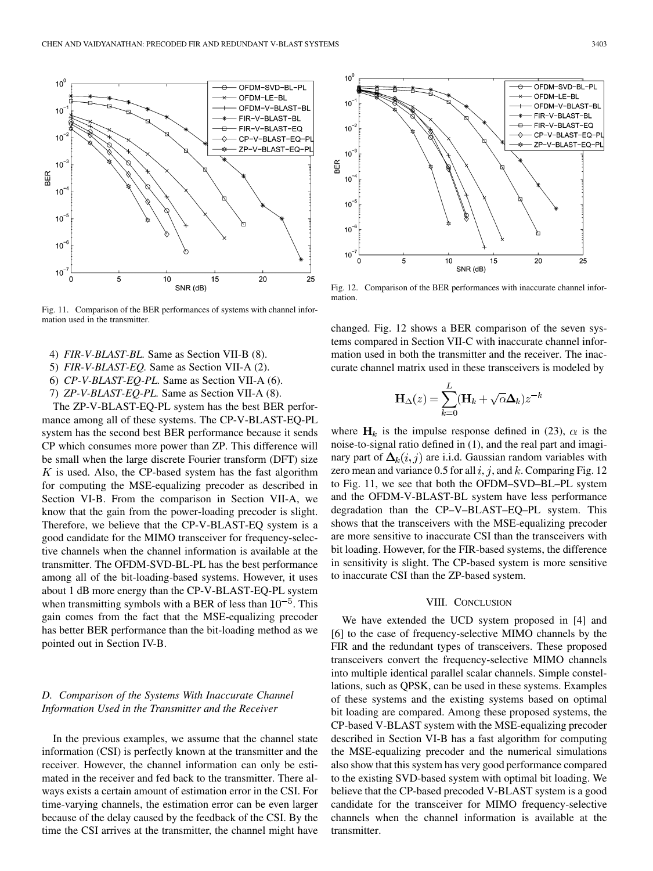

Fig. 11. Comparison of the BER performances of systems with channel information used in the transmitter.

- 4) *FIR-V-BLAST-BL.* Same as Section VII-B (8).
- 5) *FIR-V-BLAST-EQ.* Same as Section VII-A (2).
- 6) *CP-V-BLAST-EQ-PL.* Same as Section VII-A (6).
- 7) *ZP-V-BLAST-EQ-PL.* Same as Section VII-A (8).

The ZP-V-BLAST-EQ-PL system has the best BER performance among all of these systems. The CP-V-BLAST-EQ-PL system has the second best BER performance because it sends CP which consumes more power than ZP. This difference will be small when the large discrete Fourier transform (DFT) size  $K$  is used. Also, the CP-based system has the fast algorithm for computing the MSE-equalizing precoder as described in Section VI-B. From the comparison in Section VII-A, we know that the gain from the power-loading precoder is slight. Therefore, we believe that the CP-V-BLAST-EQ system is a good candidate for the MIMO transceiver for frequency-selective channels when the channel information is available at the transmitter. The OFDM-SVD-BL-PL has the best performance among all of the bit-loading-based systems. However, it uses about 1 dB more energy than the CP-V-BLAST-EQ-PL system when transmitting symbols with a BER of less than  $10^{-5}$ . This gain comes from the fact that the MSE-equalizing precoder has better BER performance than the bit-loading method as we pointed out in Section IV-B.

# *D. Comparison of the Systems With Inaccurate Channel Information Used in the Transmitter and the Receiver*

In the previous examples, we assume that the channel state information (CSI) is perfectly known at the transmitter and the receiver. However, the channel information can only be estimated in the receiver and fed back to the transmitter. There always exists a certain amount of estimation error in the CSI. For time-varying channels, the estimation error can be even larger because of the delay caused by the feedback of the CSI. By the time the CSI arrives at the transmitter, the channel might have



Fig. 12. Comparison of the BER performances with inaccurate channel information.

changed. Fig. 12 shows a BER comparison of the seven systems compared in Section VII-C with inaccurate channel information used in both the transmitter and the receiver. The inaccurate channel matrix used in these transceivers is modeled by

$$
\mathbf{H}_{\Delta}(z) = \sum_{k=0}^{L} (\mathbf{H}_k + \sqrt{\alpha} \mathbf{\Delta}_k) z^{-k}
$$

where  $H_k$  is the impulse response defined in (23),  $\alpha$  is the noise-to-signal ratio defined in (1), and the real part and imaginary part of  $\Delta_k(i, j)$  are i.i.d. Gaussian random variables with zero mean and variance 0.5 for all  $i$ ,  $j$ , and  $k$ . Comparing Fig. 12 to Fig. 11, we see that both the OFDM–SVD–BL–PL system and the OFDM-V-BLAST-BL system have less performance degradation than the CP–V–BLAST–EQ–PL system. This shows that the transceivers with the MSE-equalizing precoder are more sensitive to inaccurate CSI than the transceivers with bit loading. However, for the FIR-based systems, the difference in sensitivity is slight. The CP-based system is more sensitive to inaccurate CSI than the ZP-based system.

## VIII. CONCLUSION

We have extended the UCD system proposed in [4] and [6] to the case of frequency-selective MIMO channels by the FIR and the redundant types of transceivers. These proposed transceivers convert the frequency-selective MIMO channels into multiple identical parallel scalar channels. Simple constellations, such as QPSK, can be used in these systems. Examples of these systems and the existing systems based on optimal bit loading are compared. Among these proposed systems, the CP-based V-BLAST system with the MSE-equalizing precoder described in Section VI-B has a fast algorithm for computing the MSE-equalizing precoder and the numerical simulations also show that this system has very good performance compared to the existing SVD-based system with optimal bit loading. We believe that the CP-based precoded V-BLAST system is a good candidate for the transceiver for MIMO frequency-selective channels when the channel information is available at the transmitter.